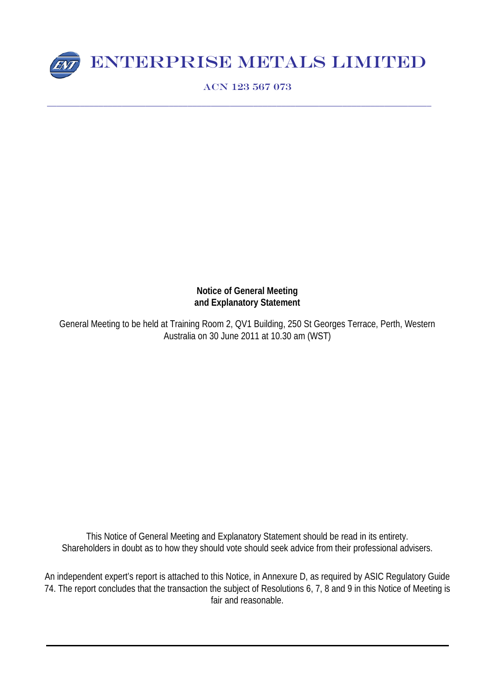

# ENTERPRISE METALS LIMITED

ACN 123 567 073

\_\_\_\_\_\_\_\_\_\_\_\_\_\_\_\_\_\_\_\_\_\_\_\_\_\_\_\_\_\_\_\_\_\_\_\_\_\_\_\_\_\_\_\_\_\_\_\_\_\_\_\_\_\_\_\_\_\_\_\_\_\_\_\_\_\_\_\_\_\_\_\_\_\_\_\_\_\_\_\_\_\_

# **Notice of General Meeting and Explanatory Statement**

General Meeting to be held at Training Room 2, QV1 Building, 250 St Georges Terrace, Perth, Western Australia on 30 June 2011 at 10.30 am (WST)

This Notice of General Meeting and Explanatory Statement should be read in its entirety. Shareholders in doubt as to how they should vote should seek advice from their professional advisers.

An independent expert's report is attached to this Notice, in Annexure D, as required by ASIC Regulatory Guide 74. The report concludes that the transaction the subject of Resolutions 6, 7, 8 and 9 in this Notice of Meeting is fair and reasonable.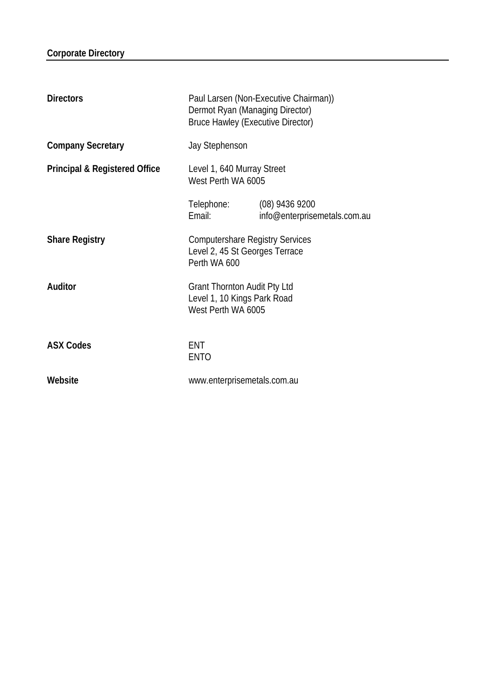| <b>Directors</b>                         | Paul Larsen (Non-Executive Chairman))<br>Dermot Ryan (Managing Director)<br><b>Bruce Hawley (Executive Director)</b> |                                                  |
|------------------------------------------|----------------------------------------------------------------------------------------------------------------------|--------------------------------------------------|
| <b>Company Secretary</b>                 | Jay Stephenson                                                                                                       |                                                  |
| <b>Principal &amp; Registered Office</b> | Level 1, 640 Murray Street<br>West Perth WA 6005                                                                     |                                                  |
|                                          | Telephone:<br>Email:                                                                                                 | $(08)$ 9436 9200<br>info@enterprisemetals.com.au |
| <b>Share Registry</b>                    | <b>Computershare Registry Services</b><br>Level 2, 45 St Georges Terrace<br>Perth WA 600                             |                                                  |
| Auditor                                  | <b>Grant Thornton Audit Pty Ltd</b><br>Level 1, 10 Kings Park Road<br>West Perth WA 6005                             |                                                  |
| <b>ASX Codes</b>                         | <b>ENT</b><br><b>ENTO</b>                                                                                            |                                                  |
| Website                                  | www.enterprisemetals.com.au                                                                                          |                                                  |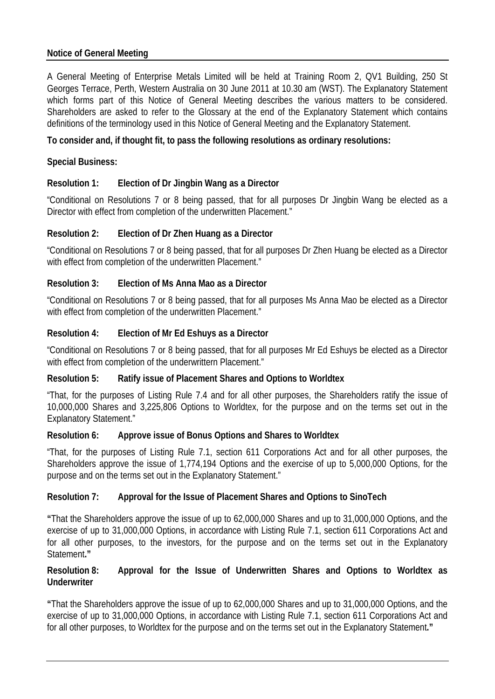# **Notice of General Meeting**

A General Meeting of Enterprise Metals Limited will be held at Training Room 2, QV1 Building, 250 St Georges Terrace, Perth, Western Australia on 30 June 2011 at 10.30 am (WST). The Explanatory Statement which forms part of this Notice of General Meeting describes the various matters to be considered. Shareholders are asked to refer to the Glossary at the end of the Explanatory Statement which contains definitions of the terminology used in this Notice of General Meeting and the Explanatory Statement.

# **To consider and, if thought fit, to pass the following resolutions as ordinary resolutions:**

# **Special Business:**

# **Resolution 1: Election of Dr Jingbin Wang as a Director**

"Conditional on Resolutions 7 or 8 being passed, that for all purposes Dr Jingbin Wang be elected as a Director with effect from completion of the underwritten Placement."

# **Resolution 2: Election of Dr Zhen Huang as a Director**

"Conditional on Resolutions 7 or 8 being passed, that for all purposes Dr Zhen Huang be elected as a Director with effect from completion of the underwritten Placement."

# **Resolution 3: Election of Ms Anna Mao as a Director**

"Conditional on Resolutions 7 or 8 being passed, that for all purposes Ms Anna Mao be elected as a Director with effect from completion of the underwritten Placement."

# **Resolution 4: Election of Mr Ed Eshuys as a Director**

"Conditional on Resolutions 7 or 8 being passed, that for all purposes Mr Ed Eshuys be elected as a Director with effect from completion of the underwrittern Placement."

### **Resolution 5: Ratify issue of Placement Shares and Options to Worldtex**

"That, for the purposes of Listing Rule 7.4 and for all other purposes, the Shareholders ratify the issue of 10,000,000 Shares and 3,225,806 Options to Worldtex, for the purpose and on the terms set out in the Explanatory Statement."

### **Resolution 6: Approve issue of Bonus Options and Shares to Worldtex**

"That, for the purposes of Listing Rule 7.1, section 611 Corporations Act and for all other purposes, the Shareholders approve the issue of 1,774,194 Options and the exercise of up to 5,000,000 Options, for the purpose and on the terms set out in the Explanatory Statement."

### **Resolution 7: Approval for the Issue of Placement Shares and Options to SinoTech**

**"**That the Shareholders approve the issue of up to 62,000,000 Shares and up to 31,000,000 Options, and the exercise of up to 31,000,000 Options, in accordance with Listing Rule 7.1, section 611 Corporations Act and for all other purposes, to the investors, for the purpose and on the terms set out in the Explanatory Statement**."**

### **Resolution 8: Approval for the Issue of Underwritten Shares and Options to Worldtex as Underwriter**

**"**That the Shareholders approve the issue of up to 62,000,000 Shares and up to 31,000,000 Options, and the exercise of up to 31,000,000 Options, in accordance with Listing Rule 7.1, section 611 Corporations Act and for all other purposes, to Worldtex for the purpose and on the terms set out in the Explanatory Statement**."**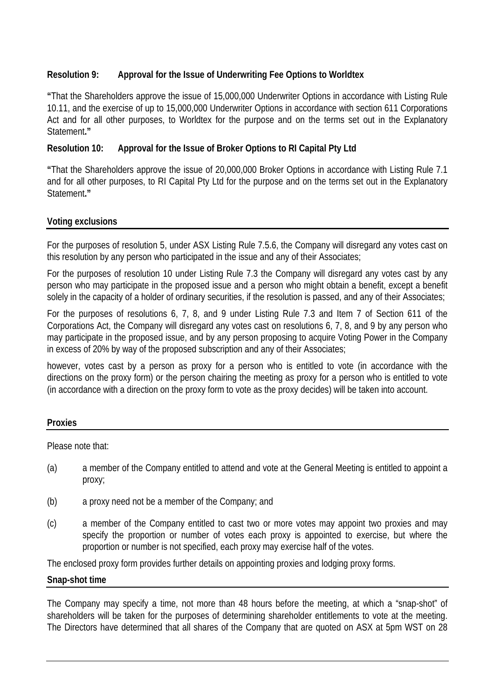# **Resolution 9: Approval for the Issue of Underwriting Fee Options to Worldtex**

**"**That the Shareholders approve the issue of 15,000,000 Underwriter Options in accordance with Listing Rule 10.11, and the exercise of up to 15,000,000 Underwriter Options in accordance with section 611 Corporations Act and for all other purposes, to Worldtex for the purpose and on the terms set out in the Explanatory Statement**."**

# **Resolution 10: Approval for the Issue of Broker Options to RI Capital Pty Ltd**

**"**That the Shareholders approve the issue of 20,000,000 Broker Options in accordance with Listing Rule 7.1 and for all other purposes, to RI Capital Pty Ltd for the purpose and on the terms set out in the Explanatory Statement**."**

# **Voting exclusions**

For the purposes of resolution 5, under ASX Listing Rule 7.5.6, the Company will disregard any votes cast on this resolution by any person who participated in the issue and any of their Associates;

For the purposes of resolution 10 under Listing Rule 7.3 the Company will disregard any votes cast by any person who may participate in the proposed issue and a person who might obtain a benefit, except a benefit solely in the capacity of a holder of ordinary securities, if the resolution is passed, and any of their Associates;

For the purposes of resolutions 6, 7, 8, and 9 under Listing Rule 7.3 and Item 7 of Section 611 of the Corporations Act, the Company will disregard any votes cast on resolutions 6, 7, 8, and 9 by any person who may participate in the proposed issue, and by any person proposing to acquire Voting Power in the Company in excess of 20% by way of the proposed subscription and any of their Associates;

however, votes cast by a person as proxy for a person who is entitled to vote (in accordance with the directions on the proxy form) or the person chairing the meeting as proxy for a person who is entitled to vote (in accordance with a direction on the proxy form to vote as the proxy decides) will be taken into account.

# **Proxies**

Please note that:

- (a) a member of the Company entitled to attend and vote at the General Meeting is entitled to appoint a proxy;
- (b) a proxy need not be a member of the Company; and
- (c) a member of the Company entitled to cast two or more votes may appoint two proxies and may specify the proportion or number of votes each proxy is appointed to exercise, but where the proportion or number is not specified, each proxy may exercise half of the votes.

The enclosed proxy form provides further details on appointing proxies and lodging proxy forms.

### **Snap-shot time**

The Company may specify a time, not more than 48 hours before the meeting, at which a "snap-shot" of shareholders will be taken for the purposes of determining shareholder entitlements to vote at the meeting. The Directors have determined that all shares of the Company that are quoted on ASX at 5pm WST on 28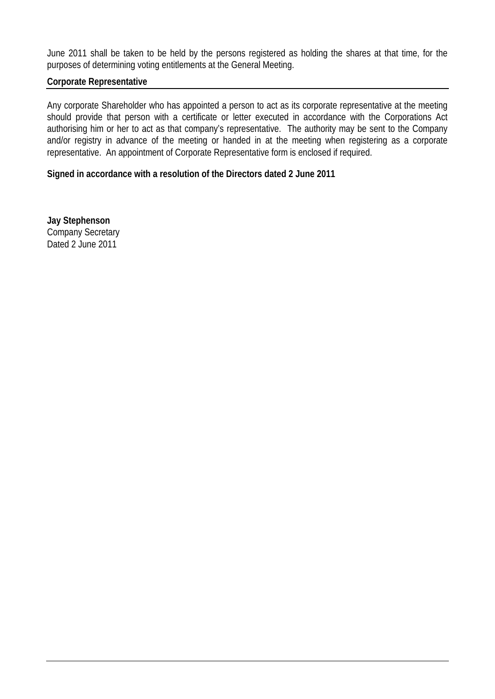June 2011 shall be taken to be held by the persons registered as holding the shares at that time, for the purposes of determining voting entitlements at the General Meeting.

#### **Corporate Representative**

Any corporate Shareholder who has appointed a person to act as its corporate representative at the meeting should provide that person with a certificate or letter executed in accordance with the Corporations Act authorising him or her to act as that company's representative. The authority may be sent to the Company and/or registry in advance of the meeting or handed in at the meeting when registering as a corporate representative. An appointment of Corporate Representative form is enclosed if required.

#### **Signed in accordance with a resolution of the Directors dated 2 June 2011**

**Jay Stephenson** Company Secretary Dated 2 June 2011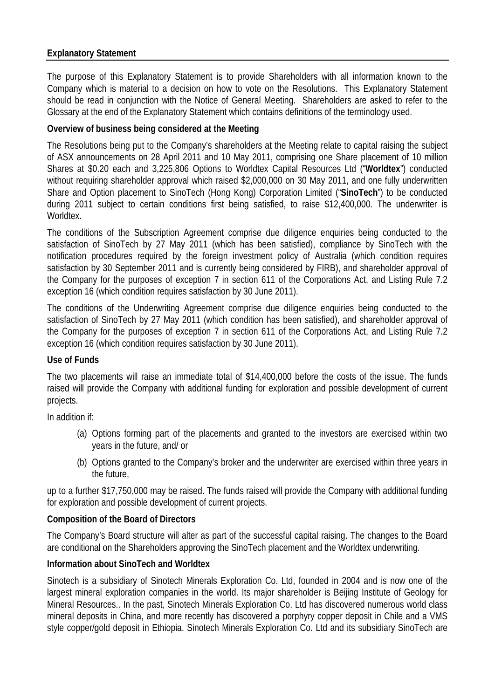# **Explanatory Statement**

The purpose of this Explanatory Statement is to provide Shareholders with all information known to the Company which is material to a decision on how to vote on the Resolutions. This Explanatory Statement should be read in conjunction with the Notice of General Meeting. Shareholders are asked to refer to the Glossary at the end of the Explanatory Statement which contains definitions of the terminology used.

# **Overview of business being considered at the Meeting**

The Resolutions being put to the Company's shareholders at the Meeting relate to capital raising the subject of ASX announcements on 28 April 2011 and 10 May 2011, comprising one Share placement of 10 million Shares at \$0.20 each and 3,225,806 Options to Worldtex Capital Resources Ltd ("**Worldtex**") conducted without requiring shareholder approval which raised \$2,000,000 on 30 May 2011, and one fully underwritten Share and Option placement to SinoTech (Hong Kong) Corporation Limited ("**SinoTech**") to be conducted during 2011 subject to certain conditions first being satisfied, to raise \$12,400,000. The underwriter is Worldtex.

The conditions of the Subscription Agreement comprise due diligence enquiries being conducted to the satisfaction of SinoTech by 27 May 2011 (which has been satisfied), compliance by SinoTech with the notification procedures required by the foreign investment policy of Australia (which condition requires satisfaction by 30 September 2011 and is currently being considered by FIRB), and shareholder approval of the Company for the purposes of exception 7 in section 611 of the Corporations Act, and Listing Rule 7.2 exception 16 (which condition requires satisfaction by 30 June 2011).

The conditions of the Underwriting Agreement comprise due diligence enquiries being conducted to the satisfaction of SinoTech by 27 May 2011 (which condition has been satisfied), and shareholder approval of the Company for the purposes of exception 7 in section 611 of the Corporations Act, and Listing Rule 7.2 exception 16 (which condition requires satisfaction by 30 June 2011).

### **Use of Funds**

The two placements will raise an immediate total of \$14,400,000 before the costs of the issue. The funds raised will provide the Company with additional funding for exploration and possible development of current projects.

In addition if:

- (a) Options forming part of the placements and granted to the investors are exercised within two years in the future, and/ or
- (b) Options granted to the Company's broker and the underwriter are exercised within three years in the future,

up to a further \$17,750,000 may be raised. The funds raised will provide the Company with additional funding for exploration and possible development of current projects.

### **Composition of the Board of Directors**

The Company's Board structure will alter as part of the successful capital raising. The changes to the Board are conditional on the Shareholders approving the SinoTech placement and the Worldtex underwriting.

### **Information about SinoTech and Worldtex**

Sinotech is a subsidiary of Sinotech Minerals Exploration Co. Ltd, founded in 2004 and is now one of the largest mineral exploration companies in the world. Its major shareholder is Beijing Institute of Geology for Mineral Resources.. In the past, Sinotech Minerals Exploration Co. Ltd has discovered numerous world class mineral deposits in China, and more recently has discovered a porphyry copper deposit in Chile and a VMS style copper/gold deposit in Ethiopia. Sinotech Minerals Exploration Co. Ltd and its subsidiary SinoTech are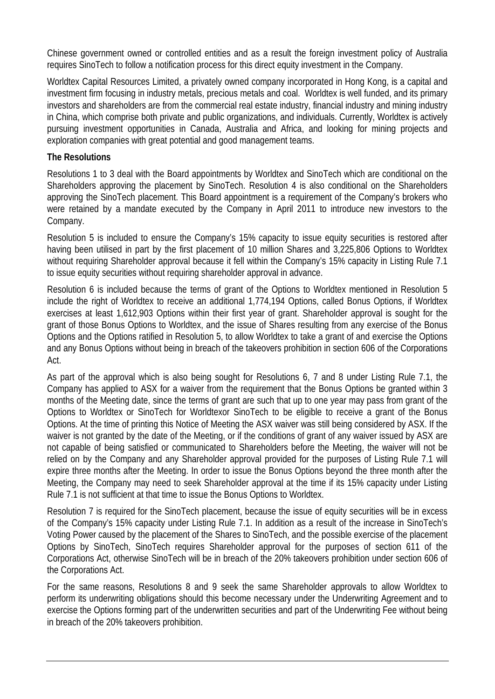Chinese government owned or controlled entities and as a result the foreign investment policy of Australia requires SinoTech to follow a notification process for this direct equity investment in the Company.

Worldtex Capital Resources Limited, a privately owned company incorporated in Hong Kong, is a capital and investment firm focusing in industry metals, precious metals and coal. Worldtex is well funded, and its primary investors and shareholders are from the commercial real estate industry, financial industry and mining industry in China, which comprise both private and public organizations, and individuals. Currently, Worldtex is actively pursuing investment opportunities in Canada, Australia and Africa, and looking for mining projects and exploration companies with great potential and good management teams.

### **The Resolutions**

Resolutions 1 to 3 deal with the Board appointments by Worldtex and SinoTech which are conditional on the Shareholders approving the placement by SinoTech. Resolution 4 is also conditional on the Shareholders approving the SinoTech placement. This Board appointment is a requirement of the Company's brokers who were retained by a mandate executed by the Company in April 2011 to introduce new investors to the Company.

Resolution 5 is included to ensure the Company's 15% capacity to issue equity securities is restored after having been utilised in part by the first placement of 10 million Shares and 3,225,806 Options to Worldtex without requiring Shareholder approval because it fell within the Company's 15% capacity in Listing Rule 7.1 to issue equity securities without requiring shareholder approval in advance.

Resolution 6 is included because the terms of grant of the Options to Worldtex mentioned in Resolution 5 include the right of Worldtex to receive an additional 1,774,194 Options, called Bonus Options, if Worldtex exercises at least 1,612,903 Options within their first year of grant. Shareholder approval is sought for the grant of those Bonus Options to Worldtex, and the issue of Shares resulting from any exercise of the Bonus Options and the Options ratified in Resolution 5, to allow Worldtex to take a grant of and exercise the Options and any Bonus Options without being in breach of the takeovers prohibition in section 606 of the Corporations Act.

As part of the approval which is also being sought for Resolutions 6, 7 and 8 under Listing Rule 7.1, the Company has applied to ASX for a waiver from the requirement that the Bonus Options be granted within 3 months of the Meeting date, since the terms of grant are such that up to one year may pass from grant of the Options to Worldtex or SinoTech for Worldtexor SinoTech to be eligible to receive a grant of the Bonus Options. At the time of printing this Notice of Meeting the ASX waiver was still being considered by ASX. If the waiver is not granted by the date of the Meeting, or if the conditions of grant of any waiver issued by ASX are not capable of being satisfied or communicated to Shareholders before the Meeting, the waiver will not be relied on by the Company and any Shareholder approval provided for the purposes of Listing Rule 7.1 will expire three months after the Meeting. In order to issue the Bonus Options beyond the three month after the Meeting, the Company may need to seek Shareholder approval at the time if its 15% capacity under Listing Rule 7.1 is not sufficient at that time to issue the Bonus Options to Worldtex.

Resolution 7 is required for the SinoTech placement, because the issue of equity securities will be in excess of the Company's 15% capacity under Listing Rule 7.1. In addition as a result of the increase in SinoTech's Voting Power caused by the placement of the Shares to SinoTech, and the possible exercise of the placement Options by SinoTech, SinoTech requires Shareholder approval for the purposes of section 611 of the Corporations Act, otherwise SinoTech will be in breach of the 20% takeovers prohibition under section 606 of the Corporations Act.

For the same reasons, Resolutions 8 and 9 seek the same Shareholder approvals to allow Worldtex to perform its underwriting obligations should this become necessary under the Underwriting Agreement and to exercise the Options forming part of the underwritten securities and part of the Underwriting Fee without being in breach of the 20% takeovers prohibition.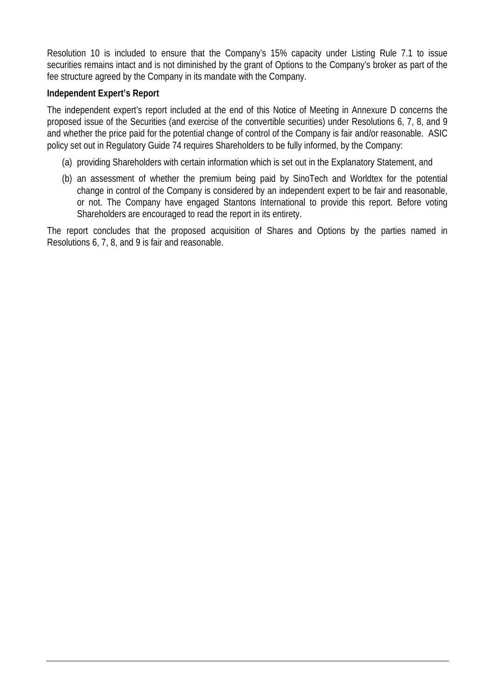Resolution 10 is included to ensure that the Company's 15% capacity under Listing Rule 7.1 to issue securities remains intact and is not diminished by the grant of Options to the Company's broker as part of the fee structure agreed by the Company in its mandate with the Company.

# **Independent Expert's Report**

The independent expert's report included at the end of this Notice of Meeting in Annexure D concerns the proposed issue of the Securities (and exercise of the convertible securities) under Resolutions 6, 7, 8, and 9 and whether the price paid for the potential change of control of the Company is fair and/or reasonable. ASIC policy set out in Regulatory Guide 74 requires Shareholders to be fully informed, by the Company:

- (a) providing Shareholders with certain information which is set out in the Explanatory Statement, and
- (b) an assessment of whether the premium being paid by SinoTech and Worldtex for the potential change in control of the Company is considered by an independent expert to be fair and reasonable, or not. The Company have engaged Stantons International to provide this report. Before voting Shareholders are encouraged to read the report in its entirety.

The report concludes that the proposed acquisition of Shares and Options by the parties named in Resolutions 6, 7, 8, and 9 is fair and reasonable.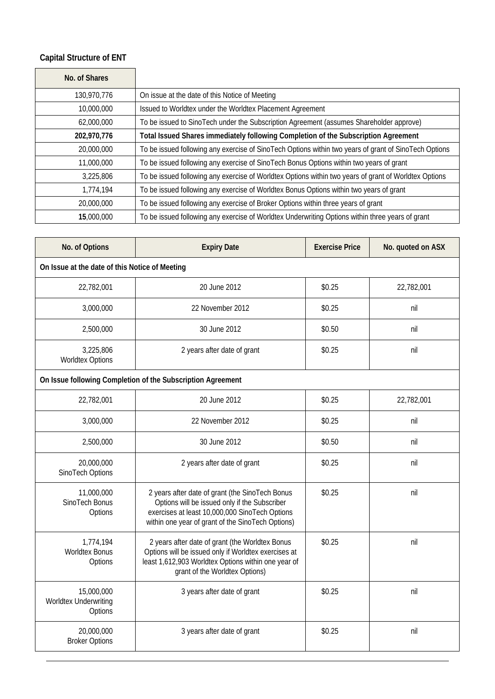# **Capital Structure of ENT**

| No. of Shares |                                                                                                       |
|---------------|-------------------------------------------------------------------------------------------------------|
| 130,970,776   | On issue at the date of this Notice of Meeting                                                        |
| 10,000,000    | Issued to Worldtex under the Worldtex Placement Agreement                                             |
| 62,000,000    | To be issued to SinoTech under the Subscription Agreement (assumes Shareholder approve)               |
| 202,970,776   | Total Issued Shares immediately following Completion of the Subscription Agreement                    |
| 20,000,000    | To be issued following any exercise of SinoTech Options within two years of grant of SinoTech Options |
| 11,000,000    | To be issued following any exercise of SinoTech Bonus Options within two years of grant               |
| 3,225,806     | To be issued following any exercise of Worldtex Options within two years of grant of Worldtex Options |
| 1,774,194     | To be issued following any exercise of Worldtex Bonus Options within two years of grant               |
| 20,000,000    | To be issued following any exercise of Broker Options within three years of grant                     |
| 15,000,000    | To be issued following any exercise of Worldtex Underwriting Options within three years of grant      |

| No. of Options                                 | <b>Expiry Date</b>                                                                                                                                                                                      | <b>Exercise Price</b> | No. quoted on ASX |
|------------------------------------------------|---------------------------------------------------------------------------------------------------------------------------------------------------------------------------------------------------------|-----------------------|-------------------|
| On Issue at the date of this Notice of Meeting |                                                                                                                                                                                                         |                       |                   |
| 22,782,001                                     | 20 June 2012                                                                                                                                                                                            | \$0.25                | 22,782,001        |
| 3,000,000                                      | 22 November 2012                                                                                                                                                                                        | \$0.25                | nil               |
| 2,500,000                                      | 30 June 2012                                                                                                                                                                                            | \$0.50                | nil               |
| 3,225,806<br><b>Worldtex Options</b>           | 2 years after date of grant                                                                                                                                                                             | \$0.25                | nil               |
|                                                | On Issue following Completion of the Subscription Agreement                                                                                                                                             |                       |                   |
| 22,782,001                                     | 20 June 2012                                                                                                                                                                                            | \$0.25                | 22,782,001        |
| 3,000,000                                      | 22 November 2012                                                                                                                                                                                        | \$0.25                | nil               |
| 2,500,000                                      | 30 June 2012                                                                                                                                                                                            | \$0.50                | nil               |
| 20,000,000<br>SinoTech Options                 | 2 years after date of grant                                                                                                                                                                             | \$0.25                | nil               |
| 11,000,000<br>SinoTech Bonus<br>Options        | 2 years after date of grant (the SinoTech Bonus<br>Options will be issued only if the Subscriber<br>exercises at least 10,000,000 SinoTech Options<br>within one year of grant of the SinoTech Options) | \$0.25                | nil               |
| 1,774,194<br><b>Worldtex Bonus</b><br>Options  | 2 years after date of grant (the Worldtex Bonus<br>Options will be issued only if Worldtex exercises at<br>least 1,612,903 Worldtex Options within one year of<br>grant of the Worldtex Options)        | \$0.25                | nil               |
| 15,000,000<br>Worldtex Underwriting<br>Options | 3 years after date of grant                                                                                                                                                                             | \$0.25                | nil               |
| 20,000,000<br><b>Broker Options</b>            | 3 years after date of grant                                                                                                                                                                             | \$0.25                | nil               |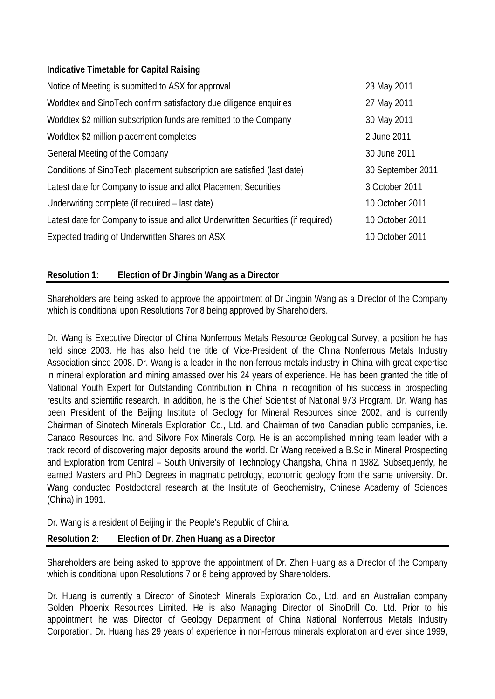# **Indicative Timetable for Capital Raising**

| Notice of Meeting is submitted to ASX for approval                               | 23 May 2011       |
|----------------------------------------------------------------------------------|-------------------|
| Worldtex and SinoTech confirm satisfactory due diligence enquiries               | 27 May 2011       |
| Worldtex \$2 million subscription funds are remitted to the Company              | 30 May 2011       |
| Worldtex \$2 million placement completes                                         | 2 June 2011       |
| General Meeting of the Company                                                   | 30 June 2011      |
| Conditions of SinoTech placement subscription are satisfied (last date)          | 30 September 2011 |
| Latest date for Company to issue and allot Placement Securities                  | 3 October 2011    |
| Underwriting complete (if required – last date)                                  | 10 October 2011   |
| Latest date for Company to issue and allot Underwritten Securities (if required) | 10 October 2011   |
| Expected trading of Underwritten Shares on ASX                                   | 10 October 2011   |

# **Resolution 1: Election of Dr Jingbin Wang as a Director**

Shareholders are being asked to approve the appointment of Dr Jingbin Wang as a Director of the Company which is conditional upon Resolutions 7or 8 being approved by Shareholders.

Dr. Wang is Executive Director of China Nonferrous Metals Resource Geological Survey, a position he has held since 2003. He has also held the title of Vice-President of the China Nonferrous Metals Industry Association since 2008. Dr. Wang is a leader in the non-ferrous metals industry in China with great expertise in mineral exploration and mining amassed over his 24 years of experience. He has been granted the title of National Youth Expert for Outstanding Contribution in China in recognition of his success in prospecting results and scientific research. In addition, he is the Chief Scientist of National 973 Program. Dr. Wang has been President of the Beijing Institute of Geology for Mineral Resources since 2002, and is currently Chairman of Sinotech Minerals Exploration Co., Ltd. and Chairman of two Canadian public companies, i.e. Canaco Resources Inc. and Silvore Fox Minerals Corp. He is an accomplished mining team leader with a track record of discovering major deposits around the world. Dr Wang received a B.Sc in Mineral Prospecting and Exploration from Central – South University of Technology Changsha, China in 1982. Subsequently, he earned Masters and PhD Degrees in magmatic petrology, economic geology from the same university. Dr. Wang conducted Postdoctoral research at the Institute of Geochemistry, Chinese Academy of Sciences (China) in 1991.

Dr. Wang is a resident of Beijing in the People's Republic of China.

# **Resolution 2: Election of Dr. Zhen Huang as a Director**

Shareholders are being asked to approve the appointment of Dr. Zhen Huang as a Director of the Company which is conditional upon Resolutions 7 or 8 being approved by Shareholders.

Dr. Huang is currently a Director of Sinotech Minerals Exploration Co., Ltd. and an Australian company Golden Phoenix Resources Limited. He is also Managing Director of SinoDrill Co. Ltd. Prior to his appointment he was Director of Geology Department of China National Nonferrous Metals Industry Corporation. Dr. Huang has 29 years of experience in non-ferrous minerals exploration and ever since 1999,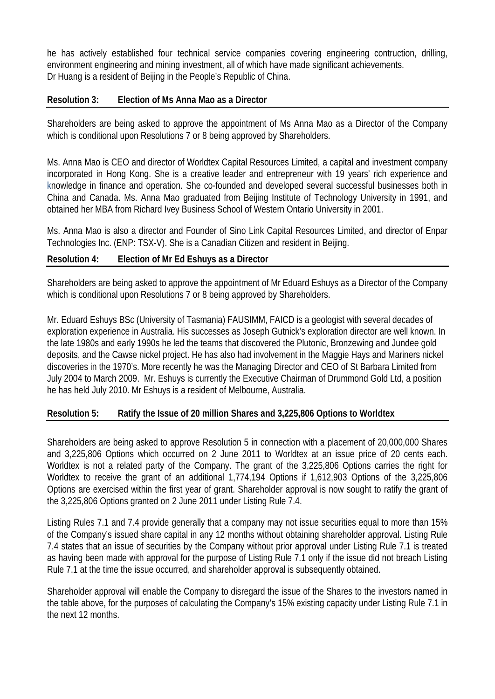he has actively established four technical service companies covering engineering contruction, drilling, environment engineering and mining investment, all of which have made significant achievements. Dr Huang is a resident of Beijing in the People's Republic of China.

# **Resolution 3: Election of Ms Anna Mao as a Director**

Shareholders are being asked to approve the appointment of Ms Anna Mao as a Director of the Company which is conditional upon Resolutions 7 or 8 being approved by Shareholders.

Ms. Anna Mao is CEO and director of Worldtex Capital Resources Limited, a capital and investment company incorporated in Hong Kong. She is a creative leader and entrepreneur with 19 years' rich experience and knowledge in finance and operation. She co-founded and developed several successful businesses both in China and Canada. Ms. Anna Mao graduated from Beijing Institute of Technology University in 1991, and obtained her MBA from Richard Ivey Business School of Western Ontario University in 2001.

Ms. Anna Mao is also a director and Founder of Sino Link Capital Resources Limited, and director of Enpar Technologies Inc. (ENP: TSX-V). She is a Canadian Citizen and resident in Beijing.

# **Resolution 4: Election of Mr Ed Eshuys as a Director**

Shareholders are being asked to approve the appointment of Mr Eduard Eshuys as a Director of the Company which is conditional upon Resolutions 7 or 8 being approved by Shareholders.

Mr. Eduard Eshuys BSc (University of Tasmania) FAUSIMM, FAICD is a geologist with several decades of exploration experience in Australia. His successes as Joseph Gutnick's exploration director are well known. In the late 1980s and early 1990s he led the teams that discovered the Plutonic, Bronzewing and Jundee gold deposits, and the Cawse nickel project. He has also had involvement in the Maggie Hays and Mariners nickel discoveries in the 1970's. More recently he was the Managing Director and CEO of St Barbara Limited from July 2004 to March 2009. Mr. Eshuys is currently the Executive Chairman of Drummond Gold Ltd, a position he has held July 2010. Mr Eshuys is a resident of Melbourne, Australia.

### **Resolution 5: Ratify the Issue of 20 million Shares and 3,225,806 Options to Worldtex**

Shareholders are being asked to approve Resolution 5 in connection with a placement of 20,000,000 Shares and 3,225,806 Options which occurred on 2 June 2011 to Worldtex at an issue price of 20 cents each. Worldtex is not a related party of the Company. The grant of the 3,225,806 Options carries the right for Worldtex to receive the grant of an additional 1,774,194 Options if 1,612,903 Options of the 3,225,806 Options are exercised within the first year of grant. Shareholder approval is now sought to ratify the grant of the 3,225,806 Options granted on 2 June 2011 under Listing Rule 7.4.

Listing Rules 7.1 and 7.4 provide generally that a company may not issue securities equal to more than 15% of the Company's issued share capital in any 12 months without obtaining shareholder approval. Listing Rule 7.4 states that an issue of securities by the Company without prior approval under Listing Rule 7.1 is treated as having been made with approval for the purpose of Listing Rule 7.1 only if the issue did not breach Listing Rule 7.1 at the time the issue occurred, and shareholder approval is subsequently obtained.

Shareholder approval will enable the Company to disregard the issue of the Shares to the investors named in the table above, for the purposes of calculating the Company's 15% existing capacity under Listing Rule 7.1 in the next 12 months.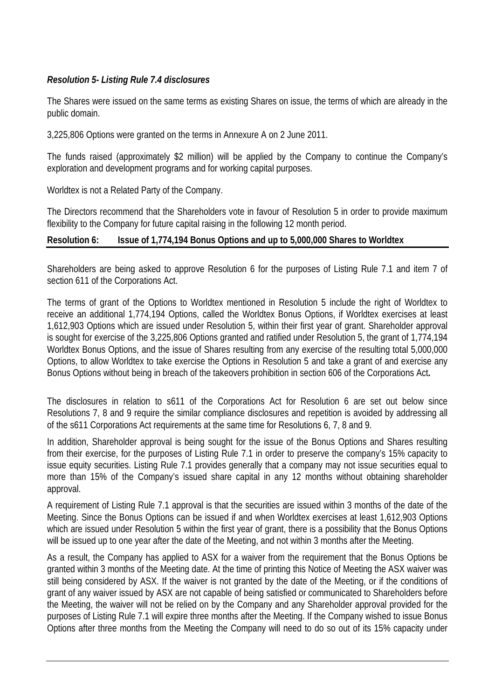# *Resolution 5- Listing Rule 7.4 disclosures*

The Shares were issued on the same terms as existing Shares on issue, the terms of which are already in the public domain.

3,225,806 Options were granted on the terms in Annexure A on 2 June 2011.

The funds raised (approximately \$2 million) will be applied by the Company to continue the Company's exploration and development programs and for working capital purposes.

Worldtex is not a Related Party of the Company.

The Directors recommend that the Shareholders vote in favour of Resolution 5 in order to provide maximum flexibility to the Company for future capital raising in the following 12 month period.

### **Resolution 6: Issue of 1,774,194 Bonus Options and up to 5,000,000 Shares to Worldtex**

Shareholders are being asked to approve Resolution 6 for the purposes of Listing Rule 7.1 and item 7 of section 611 of the Corporations Act.

The terms of grant of the Options to Worldtex mentioned in Resolution 5 include the right of Worldtex to receive an additional 1,774,194 Options, called the Worldtex Bonus Options, if Worldtex exercises at least 1,612,903 Options which are issued under Resolution 5, within their first year of grant. Shareholder approval is sought for exercise of the 3,225,806 Options granted and ratified under Resolution 5, the grant of 1,774,194 Worldtex Bonus Options, and the issue of Shares resulting from any exercise of the resulting total 5,000,000 Options, to allow Worldtex to take exercise the Options in Resolution 5 and take a grant of and exercise any Bonus Options without being in breach of the takeovers prohibition in section 606 of the Corporations Act**.** 

The disclosures in relation to s611 of the Corporations Act for Resolution 6 are set out below since Resolutions 7, 8 and 9 require the similar compliance disclosures and repetition is avoided by addressing all of the s611 Corporations Act requirements at the same time for Resolutions 6, 7, 8 and 9.

In addition, Shareholder approval is being sought for the issue of the Bonus Options and Shares resulting from their exercise, for the purposes of Listing Rule 7.1 in order to preserve the company's 15% capacity to issue equity securities. Listing Rule 7.1 provides generally that a company may not issue securities equal to more than 15% of the Company's issued share capital in any 12 months without obtaining shareholder approval.

A requirement of Listing Rule 7.1 approval is that the securities are issued within 3 months of the date of the Meeting. Since the Bonus Options can be issued if and when Worldtex exercises at least 1,612,903 Options which are issued under Resolution 5 within the first year of grant, there is a possibility that the Bonus Options will be issued up to one year after the date of the Meeting, and not within 3 months after the Meeting.

As a result, the Company has applied to ASX for a waiver from the requirement that the Bonus Options be granted within 3 months of the Meeting date. At the time of printing this Notice of Meeting the ASX waiver was still being considered by ASX. If the waiver is not granted by the date of the Meeting, or if the conditions of grant of any waiver issued by ASX are not capable of being satisfied or communicated to Shareholders before the Meeting, the waiver will not be relied on by the Company and any Shareholder approval provided for the purposes of Listing Rule 7.1 will expire three months after the Meeting. If the Company wished to issue Bonus Options after three months from the Meeting the Company will need to do so out of its 15% capacity under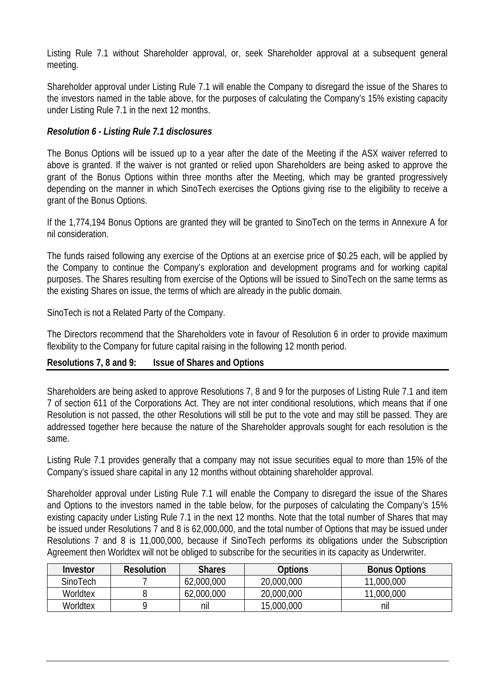Listing Rule 7.1 without Shareholder approval, or, seek Shareholder approval at a subsequent general meeting.

Shareholder approval under Listing Rule 7.1 will enable the Company to disregard the issue of the Shares to the investors named in the table above, for the purposes of calculating the Company's 15% existing capacity under Listing Rule 7.1 in the next 12 months.

# *Resolution 6 - Listing Rule 7.1 disclosures*

The Bonus Options will be issued up to a year after the date of the Meeting if the ASX waiver referred to above is granted. If the waiver is not granted or relied upon Shareholders are being asked to approve the grant of the Bonus Options within three months after the Meeting, which may be granted progressively depending on the manner in which SinoTech exercises the Options giving rise to the eligibility to receive a grant of the Bonus Options.

If the 1,774,194 Bonus Options are granted they will be granted to SinoTech on the terms in Annexure A for nil consideration.

The funds raised following any exercise of the Options at an exercise price of \$0.25 each, will be applied by the Company to continue the Company's exploration and development programs and for working capital purposes. The Shares resulting from exercise of the Options will be issued to SinoTech on the same terms as the existing Shares on issue, the terms of which are already in the public domain.

SinoTech is not a Related Party of the Company.

The Directors recommend that the Shareholders vote in favour of Resolution 6 in order to provide maximum flexibility to the Company for future capital raising in the following 12 month period.

### **Resolutions 7, 8 and 9: Issue of Shares and Options**

Shareholders are being asked to approve Resolutions 7, 8 and 9 for the purposes of Listing Rule 7.1 and item 7 of section 611 of the Corporations Act. They are not inter conditional resolutions, which means that if one Resolution is not passed, the other Resolutions will still be put to the vote and may still be passed. They are addressed together here because the nature of the Shareholder approvals sought for each resolution is the same.

Listing Rule 7.1 provides generally that a company may not issue securities equal to more than 15% of the Company's issued share capital in any 12 months without obtaining shareholder approval.

Shareholder approval under Listing Rule 7.1 will enable the Company to disregard the issue of the Shares and Options to the investors named in the table below, for the purposes of calculating the Company's 15% existing capacity under Listing Rule 7.1 in the next 12 months. Note that the total number of Shares that may be issued under Resolutions 7 and 8 is 62,000,000, and the total number of Options that may be issued under Resolutions 7 and 8 is 11,000,000, because if SinoTech performs its obligations under the Subscription Agreement then Worldtex will not be obliged to subscribe for the securities in its capacity as Underwriter.

| Investor | <b>Resolution</b> | Shares     | Options    | <b>Bonus Options</b> |
|----------|-------------------|------------|------------|----------------------|
| SinoTech |                   | 62,000,000 | 20,000,000 | 11,000,000           |
| Worldtex |                   | 62,000,000 | 20,000,000 | 11,000,000           |
| Worldtex |                   | nil        | 15,000,000 | nil                  |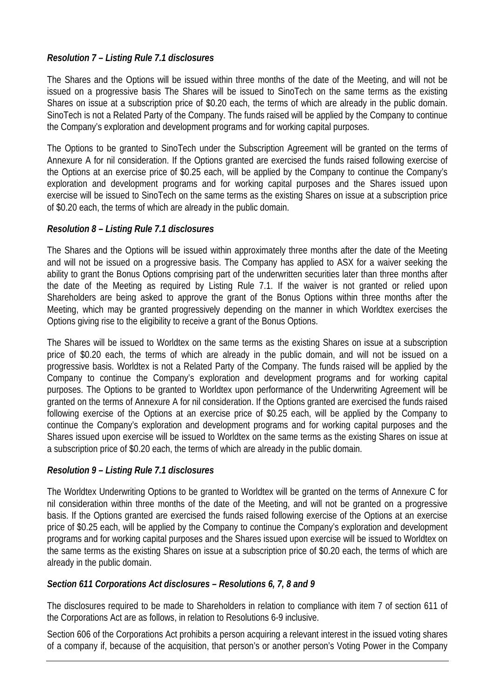# *Resolution 7 – Listing Rule 7.1 disclosures*

The Shares and the Options will be issued within three months of the date of the Meeting, and will not be issued on a progressive basis The Shares will be issued to SinoTech on the same terms as the existing Shares on issue at a subscription price of \$0.20 each, the terms of which are already in the public domain. SinoTech is not a Related Party of the Company. The funds raised will be applied by the Company to continue the Company's exploration and development programs and for working capital purposes.

The Options to be granted to SinoTech under the Subscription Agreement will be granted on the terms of Annexure A for nil consideration. If the Options granted are exercised the funds raised following exercise of the Options at an exercise price of \$0.25 each, will be applied by the Company to continue the Company's exploration and development programs and for working capital purposes and the Shares issued upon exercise will be issued to SinoTech on the same terms as the existing Shares on issue at a subscription price of \$0.20 each, the terms of which are already in the public domain.

# *Resolution 8 – Listing Rule 7.1 disclosures*

The Shares and the Options will be issued within approximately three months after the date of the Meeting and will not be issued on a progressive basis. The Company has applied to ASX for a waiver seeking the ability to grant the Bonus Options comprising part of the underwritten securities later than three months after the date of the Meeting as required by Listing Rule 7.1. If the waiver is not granted or relied upon Shareholders are being asked to approve the grant of the Bonus Options within three months after the Meeting, which may be granted progressively depending on the manner in which Worldtex exercises the Options giving rise to the eligibility to receive a grant of the Bonus Options.

The Shares will be issued to Worldtex on the same terms as the existing Shares on issue at a subscription price of \$0.20 each, the terms of which are already in the public domain, and will not be issued on a progressive basis. Worldtex is not a Related Party of the Company. The funds raised will be applied by the Company to continue the Company's exploration and development programs and for working capital purposes. The Options to be granted to Worldtex upon performance of the Underwriting Agreement will be granted on the terms of Annexure A for nil consideration. If the Options granted are exercised the funds raised following exercise of the Options at an exercise price of \$0.25 each, will be applied by the Company to continue the Company's exploration and development programs and for working capital purposes and the Shares issued upon exercise will be issued to Worldtex on the same terms as the existing Shares on issue at a subscription price of \$0.20 each, the terms of which are already in the public domain.

### *Resolution 9 – Listing Rule 7.1 disclosures*

The Worldtex Underwriting Options to be granted to Worldtex will be granted on the terms of Annexure C for nil consideration within three months of the date of the Meeting, and will not be granted on a progressive basis. If the Options granted are exercised the funds raised following exercise of the Options at an exercise price of \$0.25 each, will be applied by the Company to continue the Company's exploration and development programs and for working capital purposes and the Shares issued upon exercise will be issued to Worldtex on the same terms as the existing Shares on issue at a subscription price of \$0.20 each, the terms of which are already in the public domain.

### *Section 611 Corporations Act disclosures – Resolutions 6, 7, 8 and 9*

The disclosures required to be made to Shareholders in relation to compliance with item 7 of section 611 of the Corporations Act are as follows, in relation to Resolutions 6-9 inclusive.

Section 606 of the Corporations Act prohibits a person acquiring a relevant interest in the issued voting shares of a company if, because of the acquisition, that person's or another person's Voting Power in the Company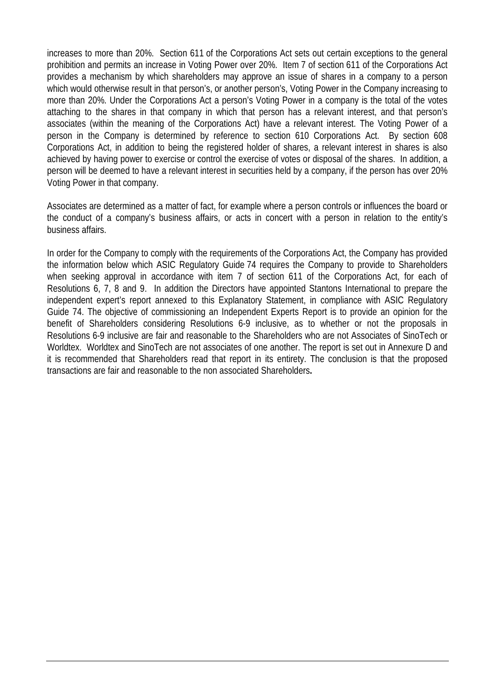increases to more than 20%. Section 611 of the Corporations Act sets out certain exceptions to the general prohibition and permits an increase in Voting Power over 20%. Item 7 of section 611 of the Corporations Act provides a mechanism by which shareholders may approve an issue of shares in a company to a person which would otherwise result in that person's, or another person's, Voting Power in the Company increasing to more than 20%. Under the Corporations Act a person's Voting Power in a company is the total of the votes attaching to the shares in that company in which that person has a relevant interest, and that person's associates (within the meaning of the Corporations Act) have a relevant interest. The Voting Power of a person in the Company is determined by reference to section 610 Corporations Act. By section 608 Corporations Act, in addition to being the registered holder of shares, a relevant interest in shares is also achieved by having power to exercise or control the exercise of votes or disposal of the shares. In addition, a person will be deemed to have a relevant interest in securities held by a company, if the person has over 20% Voting Power in that company.

Associates are determined as a matter of fact, for example where a person controls or influences the board or the conduct of a company's business affairs, or acts in concert with a person in relation to the entity's business affairs.

In order for the Company to comply with the requirements of the Corporations Act, the Company has provided the information below which ASIC Regulatory Guide 74 requires the Company to provide to Shareholders when seeking approval in accordance with item 7 of section 611 of the Corporations Act, for each of Resolutions 6, 7, 8 and 9. In addition the Directors have appointed Stantons International to prepare the independent expert's report annexed to this Explanatory Statement, in compliance with ASIC Regulatory Guide 74. The objective of commissioning an Independent Experts Report is to provide an opinion for the benefit of Shareholders considering Resolutions 6-9 inclusive, as to whether or not the proposals in Resolutions 6-9 inclusive are fair and reasonable to the Shareholders who are not Associates of SinoTech or Worldtex. Worldtex and SinoTech are not associates of one another. The report is set out in Annexure D and it is recommended that Shareholders read that report in its entirety. The conclusion is that the proposed transactions are fair and reasonable to the non associated Shareholders**.**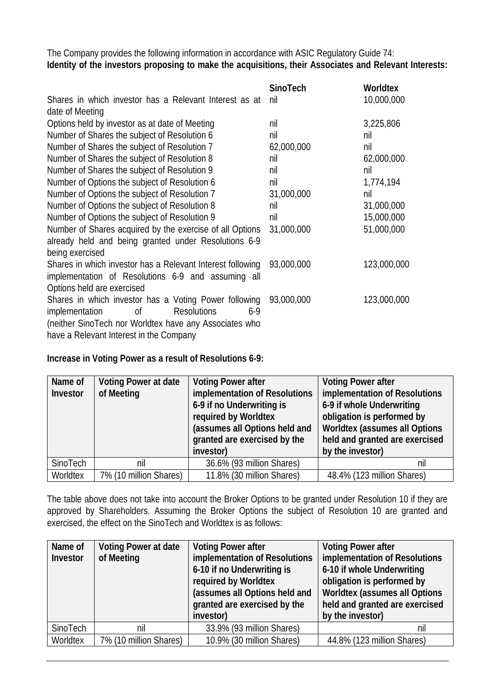The Company provides the following information in accordance with ASIC Regulatory Guide 74: **Identity of the investors proposing to make the acquisitions, their Associates and Relevant Interests:**

|                                                            | <b>SinoTech</b> | <b>Worldtex</b> |
|------------------------------------------------------------|-----------------|-----------------|
| Shares in which investor has a Relevant Interest as at     | nil             | 10,000,000      |
| date of Meeting                                            |                 |                 |
| Options held by investor as at date of Meeting             | nil             | 3,225,806       |
| Number of Shares the subject of Resolution 6               | nil             | nil             |
| Number of Shares the subject of Resolution 7               | 62,000,000      | nil             |
| Number of Shares the subject of Resolution 8               | nil             | 62,000,000      |
| Number of Shares the subject of Resolution 9               | nil             | nil             |
| Number of Options the subject of Resolution 6              | nil             | 1,774,194       |
| Number of Options the subject of Resolution 7              | 31,000,000      | nil             |
| Number of Options the subject of Resolution 8              | nil             | 31,000,000      |
| Number of Options the subject of Resolution 9              | nil             | 15,000,000      |
| Number of Shares acquired by the exercise of all Options   | 31,000,000      | 51,000,000      |
| already held and being granted under Resolutions 6-9       |                 |                 |
| being exercised                                            |                 |                 |
| Shares in which investor has a Relevant Interest following | 93,000,000      | 123,000,000     |
| implementation of Resolutions 6-9 and assuming all         |                 |                 |
| Options held are exercised                                 |                 |                 |
| Shares in which investor has a Voting Power following      | 93,000,000      | 123,000,000     |
| 0f<br><b>Resolutions</b><br>$6-9$<br>implementation        |                 |                 |
| (neither SinoTech nor Worldtex have any Associates who     |                 |                 |
| have a Relevant Interest in the Company                    |                 |                 |

### **Increase in Voting Power as a result of Resolutions 6-9:**

| Name of  | <b>Voting Power at date</b> | <b>Voting Power after</b>                                      | <b>Voting Power after</b>            |
|----------|-----------------------------|----------------------------------------------------------------|--------------------------------------|
| Investor | of Meeting                  | implementation of Resolutions<br>implementation of Resolutions |                                      |
|          |                             | 6-9 if no Underwriting is                                      | 6-9 if whole Underwriting            |
|          |                             | required by Worldtex                                           | obligation is performed by           |
|          |                             | (assumes all Options held and                                  | <b>Worldtex (assumes all Options</b> |
|          |                             | granted are exercised by the                                   | held and granted are exercised       |
|          |                             | investor)                                                      | by the investor)                     |
| SinoTech | nil                         | 36.6% (93 million Shares)                                      | nil                                  |
| Worldtex | 7% (10 million Shares)      | 11.8% (30 million Shares)                                      | 48.4% (123 million Shares)           |

The table above does not take into account the Broker Options to be granted under Resolution 10 if they are approved by Shareholders. Assuming the Broker Options the subject of Resolution 10 are granted and exercised, the effect on the SinoTech and Worldtex is as follows:

| Name of  | Voting Power at date   | <b>Voting Power after</b>     | <b>Voting Power after</b>            |
|----------|------------------------|-------------------------------|--------------------------------------|
| Investor | of Meeting             | implementation of Resolutions | implementation of Resolutions        |
|          |                        | 6-10 if no Underwriting is    | 6-10 if whole Underwriting           |
|          |                        | required by Worldtex          | obligation is performed by           |
|          |                        | (assumes all Options held and | <b>Worldtex (assumes all Options</b> |
|          |                        | granted are exercised by the  | held and granted are exercised       |
|          |                        | investor)                     | by the investor)                     |
| SinoTech | nil                    | 33.9% (93 million Shares)     | nil                                  |
| Worldtex | 7% (10 million Shares) | 10.9% (30 million Shares)     | 44.8% (123 million Shares)           |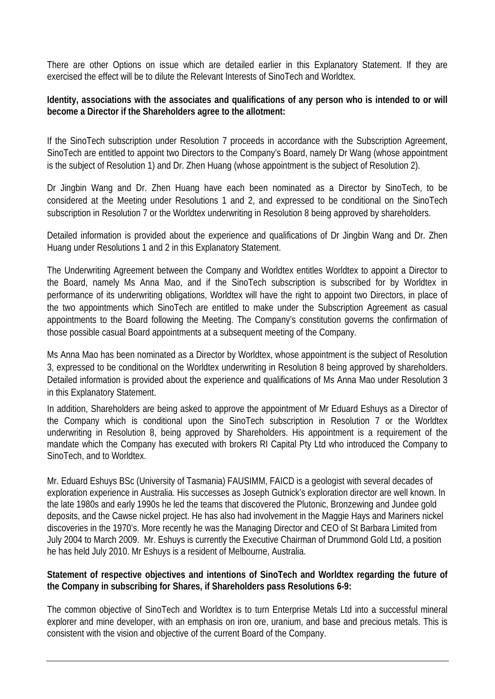There are other Options on issue which are detailed earlier in this Explanatory Statement. If they are exercised the effect will be to dilute the Relevant Interests of SinoTech and Worldtex.

# **Identity, associations with the associates and qualifications of any person who is intended to or will become a Director if the Shareholders agree to the allotment:**

If the SinoTech subscription under Resolution 7 proceeds in accordance with the Subscription Agreement, SinoTech are entitled to appoint two Directors to the Company's Board, namely Dr Wang (whose appointment is the subject of Resolution 1) and Dr. Zhen Huang (whose appointment is the subject of Resolution 2).

Dr Jingbin Wang and Dr. Zhen Huang have each been nominated as a Director by SinoTech, to be considered at the Meeting under Resolutions 1 and 2, and expressed to be conditional on the SinoTech subscription in Resolution 7 or the Worldtex underwriting in Resolution 8 being approved by shareholders.

Detailed information is provided about the experience and qualifications of Dr Jingbin Wang and Dr. Zhen Huang under Resolutions 1 and 2 in this Explanatory Statement.

The Underwriting Agreement between the Company and Worldtex entitles Worldtex to appoint a Director to the Board, namely Ms Anna Mao, and if the SinoTech subscription is subscribed for by Worldtex in performance of its underwriting obligations, Worldtex will have the right to appoint two Directors, in place of the two appointments which SinoTech are entitled to make under the Subscription Agreement as casual appointments to the Board following the Meeting. The Company's constitution governs the confirmation of those possible casual Board appointments at a subsequent meeting of the Company.

Ms Anna Mao has been nominated as a Director by Worldtex, whose appointment is the subject of Resolution 3, expressed to be conditional on the Worldtex underwriting in Resolution 8 being approved by shareholders. Detailed information is provided about the experience and qualifications of Ms Anna Mao under Resolution 3 in this Explanatory Statement.

In addition, Shareholders are being asked to approve the appointment of Mr Eduard Eshuys as a Director of the Company which is conditional upon the SinoTech subscription in Resolution 7 or the Worldtex underwriting in Resolution 8, being approved by Shareholders. His appointment is a requirement of the mandate which the Company has executed with brokers RI Capital Pty Ltd who introduced the Company to SinoTech, and to Worldtex.

Mr. Eduard Eshuys BSc (University of Tasmania) FAUSIMM, FAICD is a geologist with several decades of exploration experience in Australia. His successes as Joseph Gutnick's exploration director are well known. In the late 1980s and early 1990s he led the teams that discovered the Plutonic, Bronzewing and Jundee gold deposits, and the Cawse nickel project. He has also had involvement in the Maggie Hays and Mariners nickel discoveries in the 1970's. More recently he was the Managing Director and CEO of St Barbara Limited from July 2004 to March 2009. Mr. Eshuys is currently the Executive Chairman of Drummond Gold Ltd, a position he has held July 2010. Mr Eshuys is a resident of Melbourne, Australia.

### **Statement of respective objectives and intentions of SinoTech and Worldtex regarding the future of the Company in subscribing for Shares, if Shareholders pass Resolutions 6-9:**

The common objective of SinoTech and Worldtex is to turn Enterprise Metals Ltd into a successful mineral explorer and mine developer, with an emphasis on iron ore, uranium, and base and precious metals. This is consistent with the vision and objective of the current Board of the Company.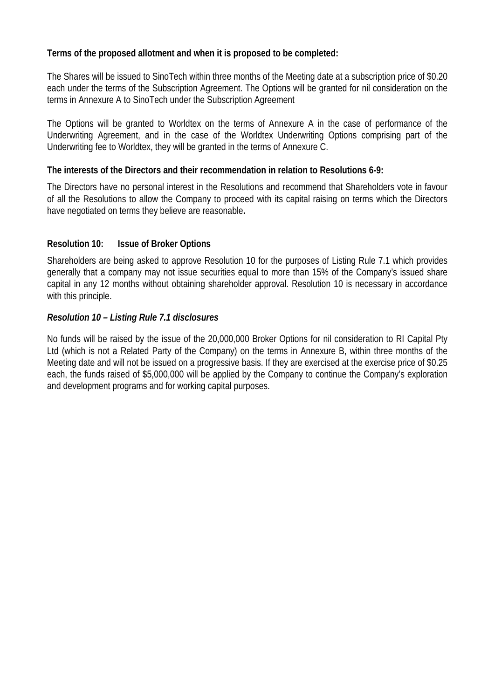# **Terms of the proposed allotment and when it is proposed to be completed:**

The Shares will be issued to SinoTech within three months of the Meeting date at a subscription price of \$0.20 each under the terms of the Subscription Agreement. The Options will be granted for nil consideration on the terms in Annexure A to SinoTech under the Subscription Agreement

The Options will be granted to Worldtex on the terms of Annexure A in the case of performance of the Underwriting Agreement, and in the case of the Worldtex Underwriting Options comprising part of the Underwriting fee to Worldtex, they will be granted in the terms of Annexure C.

# **The interests of the Directors and their recommendation in relation to Resolutions 6-9:**

The Directors have no personal interest in the Resolutions and recommend that Shareholders vote in favour of all the Resolutions to allow the Company to proceed with its capital raising on terms which the Directors have negotiated on terms they believe are reasonable**.**

# **Resolution 10: Issue of Broker Options**

Shareholders are being asked to approve Resolution 10 for the purposes of Listing Rule 7.1 which provides generally that a company may not issue securities equal to more than 15% of the Company's issued share capital in any 12 months without obtaining shareholder approval. Resolution 10 is necessary in accordance with this principle.

# *Resolution 10 – Listing Rule 7.1 disclosures*

No funds will be raised by the issue of the 20,000,000 Broker Options for nil consideration to RI Capital Pty Ltd (which is not a Related Party of the Company) on the terms in Annexure B, within three months of the Meeting date and will not be issued on a progressive basis. If they are exercised at the exercise price of \$0.25 each, the funds raised of \$5,000,000 will be applied by the Company to continue the Company's exploration and development programs and for working capital purposes.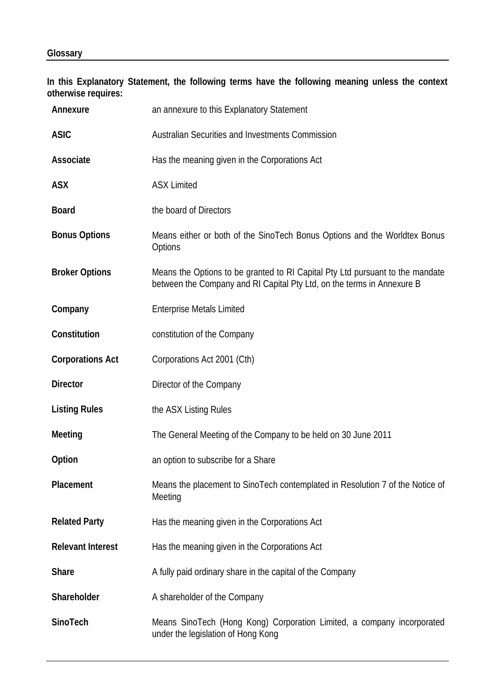**In this Explanatory Statement, the following terms have the following meaning unless the context otherwise requires:**

| Annexure                 | an annexure to this Explanatory Statement                                                                                                               |
|--------------------------|---------------------------------------------------------------------------------------------------------------------------------------------------------|
| <b>ASIC</b>              | <b>Australian Securities and Investments Commission</b>                                                                                                 |
| Associate                | Has the meaning given in the Corporations Act                                                                                                           |
| <b>ASX</b>               | <b>ASX Limited</b>                                                                                                                                      |
| <b>Board</b>             | the board of Directors                                                                                                                                  |
| <b>Bonus Options</b>     | Means either or both of the SinoTech Bonus Options and the Worldtex Bonus<br>Options                                                                    |
| <b>Broker Options</b>    | Means the Options to be granted to RI Capital Pty Ltd pursuant to the mandate<br>between the Company and RI Capital Pty Ltd, on the terms in Annexure B |
| Company                  | <b>Enterprise Metals Limited</b>                                                                                                                        |
| Constitution             | constitution of the Company                                                                                                                             |
| <b>Corporations Act</b>  | Corporations Act 2001 (Cth)                                                                                                                             |
| <b>Director</b>          | Director of the Company                                                                                                                                 |
| <b>Listing Rules</b>     | the ASX Listing Rules                                                                                                                                   |
| Meeting                  | The General Meeting of the Company to be held on 30 June 2011                                                                                           |
| Option                   | an option to subscribe for a Share                                                                                                                      |
| Placement                | Means the placement to SinoTech contemplated in Resolution 7 of the Notice of<br>Meeting                                                                |
| <b>Related Party</b>     | Has the meaning given in the Corporations Act                                                                                                           |
| <b>Relevant Interest</b> | Has the meaning given in the Corporations Act                                                                                                           |
| <b>Share</b>             | A fully paid ordinary share in the capital of the Company                                                                                               |
| Shareholder              | A shareholder of the Company                                                                                                                            |
| SinoTech                 | Means SinoTech (Hong Kong) Corporation Limited, a company incorporated<br>under the legislation of Hong Kong                                            |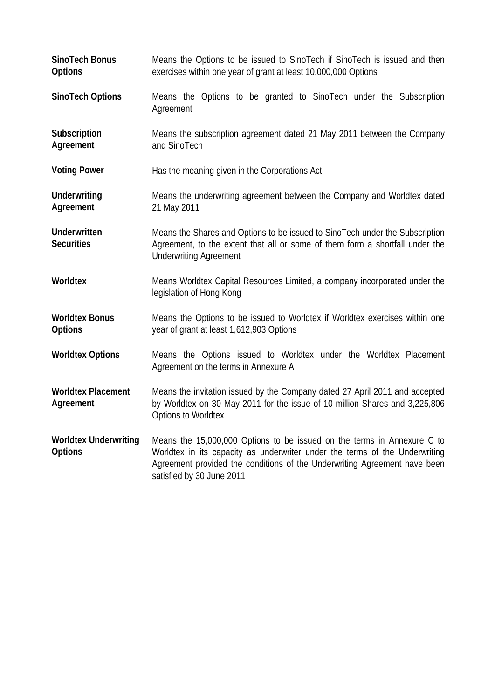| SinoTech Bonus<br><b>Options</b>               | Means the Options to be issued to SinoTech if SinoTech is issued and then<br>exercises within one year of grant at least 10,000,000 Options                                                                                                                      |
|------------------------------------------------|------------------------------------------------------------------------------------------------------------------------------------------------------------------------------------------------------------------------------------------------------------------|
| SinoTech Options                               | Means the Options to be granted to SinoTech under the Subscription<br>Agreement                                                                                                                                                                                  |
| Subscription<br>Agreement                      | Means the subscription agreement dated 21 May 2011 between the Company<br>and SinoTech                                                                                                                                                                           |
| <b>Voting Power</b>                            | Has the meaning given in the Corporations Act                                                                                                                                                                                                                    |
| Underwriting<br>Agreement                      | Means the underwriting agreement between the Company and Worldtex dated<br>21 May 2011                                                                                                                                                                           |
| <b>Underwritten</b><br><b>Securities</b>       | Means the Shares and Options to be issued to SinoTech under the Subscription<br>Agreement, to the extent that all or some of them form a shortfall under the<br><b>Underwriting Agreement</b>                                                                    |
| Worldtex                                       | Means Worldtex Capital Resources Limited, a company incorporated under the<br>legislation of Hong Kong                                                                                                                                                           |
| <b>Worldtex Bonus</b><br><b>Options</b>        | Means the Options to be issued to Worldtex if Worldtex exercises within one<br>year of grant at least 1,612,903 Options                                                                                                                                          |
| <b>Worldtex Options</b>                        | Means the Options issued to Worldtex under the Worldtex Placement<br>Agreement on the terms in Annexure A                                                                                                                                                        |
| <b>Worldtex Placement</b><br>Agreement         | Means the invitation issued by the Company dated 27 April 2011 and accepted<br>by Worldtex on 30 May 2011 for the issue of 10 million Shares and 3,225,806<br><b>Options to Worldtex</b>                                                                         |
| <b>Worldtex Underwriting</b><br><b>Options</b> | Means the 15,000,000 Options to be issued on the terms in Annexure C to<br>Worldtex in its capacity as underwriter under the terms of the Underwriting<br>Agreement provided the conditions of the Underwriting Agreement have been<br>satisfied by 30 June 2011 |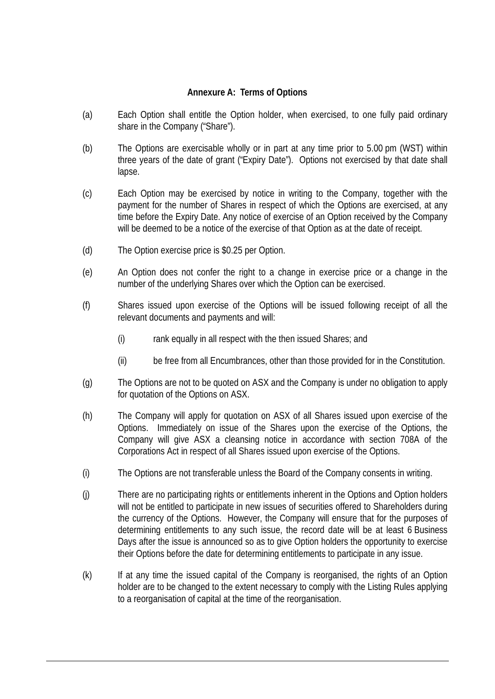#### **Annexure A: Terms of Options**

- (a) Each Option shall entitle the Option holder, when exercised, to one fully paid ordinary share in the Company ("Share").
- (b) The Options are exercisable wholly or in part at any time prior to 5.00 pm (WST) within three years of the date of grant ("Expiry Date"). Options not exercised by that date shall lapse.
- (c) Each Option may be exercised by notice in writing to the Company, together with the payment for the number of Shares in respect of which the Options are exercised, at any time before the Expiry Date. Any notice of exercise of an Option received by the Company will be deemed to be a notice of the exercise of that Option as at the date of receipt.
- (d) The Option exercise price is \$0.25 per Option.
- (e) An Option does not confer the right to a change in exercise price or a change in the number of the underlying Shares over which the Option can be exercised.
- (f) Shares issued upon exercise of the Options will be issued following receipt of all the relevant documents and payments and will:
	- (i) rank equally in all respect with the then issued Shares; and
	- (ii) be free from all Encumbrances, other than those provided for in the Constitution.
- (g) The Options are not to be quoted on ASX and the Company is under no obligation to apply for quotation of the Options on ASX.
- (h) The Company will apply for quotation on ASX of all Shares issued upon exercise of the Options. Immediately on issue of the Shares upon the exercise of the Options, the Company will give ASX a cleansing notice in accordance with section 708A of the Corporations Act in respect of all Shares issued upon exercise of the Options.
- (i) The Options are not transferable unless the Board of the Company consents in writing.
- (j) There are no participating rights or entitlements inherent in the Options and Option holders will not be entitled to participate in new issues of securities offered to Shareholders during the currency of the Options. However, the Company will ensure that for the purposes of determining entitlements to any such issue, the record date will be at least 6 Business Days after the issue is announced so as to give Option holders the opportunity to exercise their Options before the date for determining entitlements to participate in any issue.
- (k) If at any time the issued capital of the Company is reorganised, the rights of an Option holder are to be changed to the extent necessary to comply with the Listing Rules applying to a reorganisation of capital at the time of the reorganisation.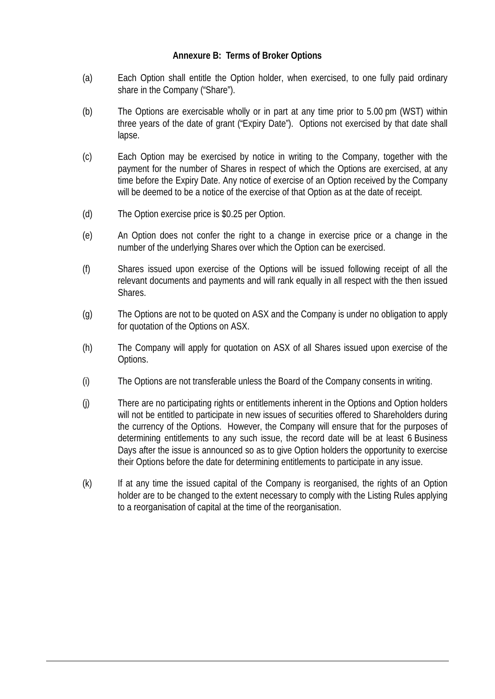# **Annexure B: Terms of Broker Options**

- (a) Each Option shall entitle the Option holder, when exercised, to one fully paid ordinary share in the Company ("Share").
- (b) The Options are exercisable wholly or in part at any time prior to 5.00 pm (WST) within three years of the date of grant ("Expiry Date"). Options not exercised by that date shall lapse.
- (c) Each Option may be exercised by notice in writing to the Company, together with the payment for the number of Shares in respect of which the Options are exercised, at any time before the Expiry Date. Any notice of exercise of an Option received by the Company will be deemed to be a notice of the exercise of that Option as at the date of receipt.
- (d) The Option exercise price is \$0.25 per Option.
- (e) An Option does not confer the right to a change in exercise price or a change in the number of the underlying Shares over which the Option can be exercised.
- (f) Shares issued upon exercise of the Options will be issued following receipt of all the relevant documents and payments and will rank equally in all respect with the then issued Shares.
- (g) The Options are not to be quoted on ASX and the Company is under no obligation to apply for quotation of the Options on ASX.
- (h) The Company will apply for quotation on ASX of all Shares issued upon exercise of the Options.
- (i) The Options are not transferable unless the Board of the Company consents in writing.
- (j) There are no participating rights or entitlements inherent in the Options and Option holders will not be entitled to participate in new issues of securities offered to Shareholders during the currency of the Options. However, the Company will ensure that for the purposes of determining entitlements to any such issue, the record date will be at least 6 Business Days after the issue is announced so as to give Option holders the opportunity to exercise their Options before the date for determining entitlements to participate in any issue.
- (k) If at any time the issued capital of the Company is reorganised, the rights of an Option holder are to be changed to the extent necessary to comply with the Listing Rules applying to a reorganisation of capital at the time of the reorganisation.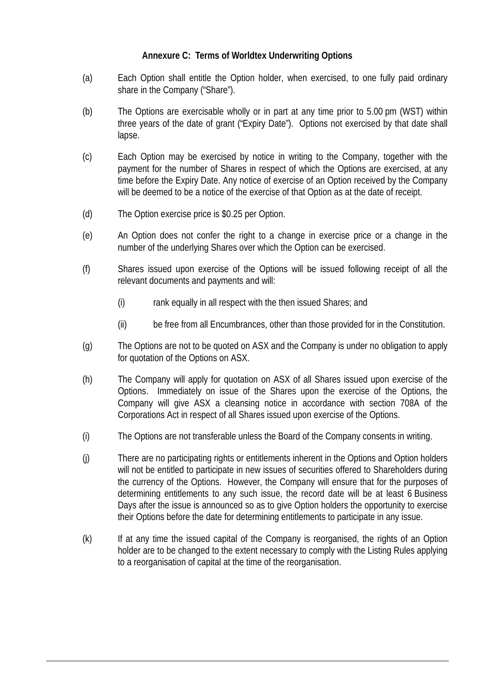# **Annexure C: Terms of Worldtex Underwriting Options**

- (a) Each Option shall entitle the Option holder, when exercised, to one fully paid ordinary share in the Company ("Share").
- (b) The Options are exercisable wholly or in part at any time prior to 5.00 pm (WST) within three years of the date of grant ("Expiry Date"). Options not exercised by that date shall lapse.
- (c) Each Option may be exercised by notice in writing to the Company, together with the payment for the number of Shares in respect of which the Options are exercised, at any time before the Expiry Date. Any notice of exercise of an Option received by the Company will be deemed to be a notice of the exercise of that Option as at the date of receipt.
- (d) The Option exercise price is \$0.25 per Option.
- (e) An Option does not confer the right to a change in exercise price or a change in the number of the underlying Shares over which the Option can be exercised.
- (f) Shares issued upon exercise of the Options will be issued following receipt of all the relevant documents and payments and will:
	- (i) rank equally in all respect with the then issued Shares; and
	- (ii) be free from all Encumbrances, other than those provided for in the Constitution.
- (g) The Options are not to be quoted on ASX and the Company is under no obligation to apply for quotation of the Options on ASX.
- (h) The Company will apply for quotation on ASX of all Shares issued upon exercise of the Options. Immediately on issue of the Shares upon the exercise of the Options, the Company will give ASX a cleansing notice in accordance with section 708A of the Corporations Act in respect of all Shares issued upon exercise of the Options.
- (i) The Options are not transferable unless the Board of the Company consents in writing.
- (j) There are no participating rights or entitlements inherent in the Options and Option holders will not be entitled to participate in new issues of securities offered to Shareholders during the currency of the Options. However, the Company will ensure that for the purposes of determining entitlements to any such issue, the record date will be at least 6 Business Days after the issue is announced so as to give Option holders the opportunity to exercise their Options before the date for determining entitlements to participate in any issue.
- (k) If at any time the issued capital of the Company is reorganised, the rights of an Option holder are to be changed to the extent necessary to comply with the Listing Rules applying to a reorganisation of capital at the time of the reorganisation.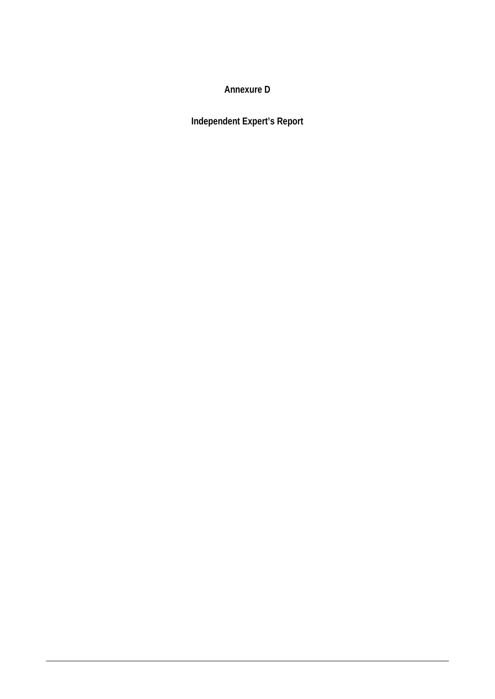**Annexure D**

**Independent Expert's Report**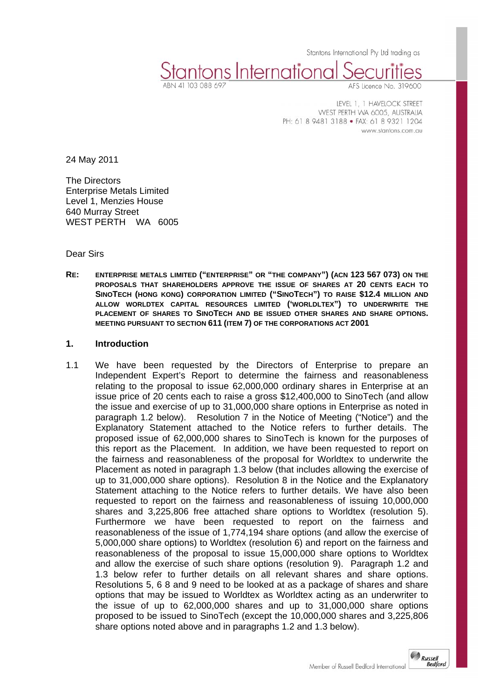Stantons International Pty Ltd trading as

Stantons International

LEVEL 1, 1 HAVELOCK STREET WEST PERTH WA 6005, AUSTRALIA PH: 61 8 9481 3188 · FAX: 61 8 9321 1204

www.stantons.com.au

24 May 2011

The Directors Enterprise Metals Limited Level 1, Menzies House 640 Murray Street WEST PERTH WA 6005

Dear Sirs

**RE: ENTERPRISE METALS LIMITED ("ENTERPRISE" OR "THE COMPANY") (ACN 123 567 073) ON THE PROPOSALS THAT SHAREHOLDERS APPROVE THE ISSUE OF SHARES AT 20 CENTS EACH TO SINOTECH (HONG KONG) CORPORATION LIMITED ("SINOTECH") TO RAISE \$12.4 MILLION AND ALLOW WORLDTEX CAPITAL RESOURCES LIMITED ('WORLDLTEX") TO UNDERWRITE THE PLACEMENT OF SHARES TO SINOTECH AND BE ISSUED OTHER SHARES AND SHARE OPTIONS. MEETING PURSUANT TO SECTION 611 (ITEM 7) OF THE CORPORATIONS ACT 2001** 

#### **1. Introduction**

1.1 We have been requested by the Directors of Enterprise to prepare an Independent Expert's Report to determine the fairness and reasonableness relating to the proposal to issue 62,000,000 ordinary shares in Enterprise at an issue price of 20 cents each to raise a gross \$12,400,000 to SinoTech (and allow the issue and exercise of up to 31,000,000 share options in Enterprise as noted in paragraph 1.2 below). Resolution 7 in the Notice of Meeting ("Notice") and the Explanatory Statement attached to the Notice refers to further details. The proposed issue of 62,000,000 shares to SinoTech is known for the purposes of this report as the Placement. In addition, we have been requested to report on the fairness and reasonableness of the proposal for Worldtex to underwrite the Placement as noted in paragraph 1.3 below (that includes allowing the exercise of up to 31,000,000 share options). Resolution 8 in the Notice and the Explanatory Statement attaching to the Notice refers to further details. We have also been requested to report on the fairness and reasonableness of issuing 10,000,000 shares and 3,225,806 free attached share options to Worldtex (resolution 5). Furthermore we have been requested to report on the fairness and reasonableness of the issue of 1,774,194 share options (and allow the exercise of 5,000,000 share options) to Worldtex (resolution 6) and report on the fairness and reasonableness of the proposal to issue 15,000,000 share options to Worldtex and allow the exercise of such share options (resolution 9). Paragraph 1.2 and 1.3 below refer to further details on all relevant shares and share options. Resolutions 5, 6 8 and 9 need to be looked at as a package of shares and share options that may be issued to Worldtex as Worldtex acting as an underwriter to the issue of up to 62,000,000 shares and up to 31,000,000 share options proposed to be issued to SinoTech (except the 10,000,000 shares and 3,225,806 share options noted above and in paragraphs 1.2 and 1.3 below).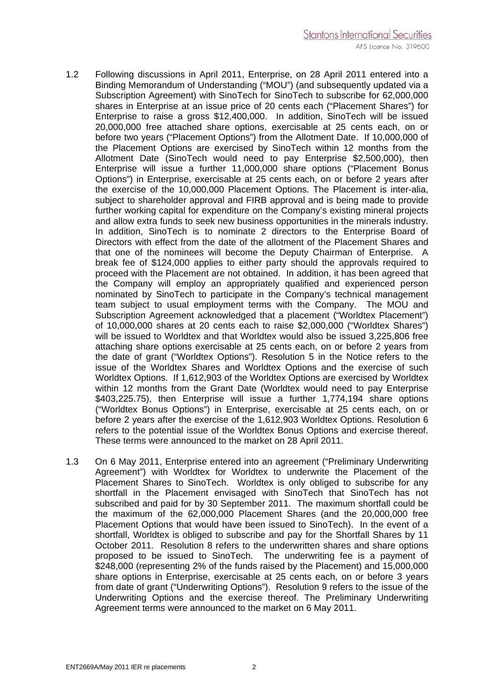- 1.2 Following discussions in April 2011, Enterprise, on 28 April 2011 entered into a Binding Memorandum of Understanding ("MOU") (and subsequently updated via a Subscription Agreement) with SinoTech for SinoTech to subscribe for 62,000,000 shares in Enterprise at an issue price of 20 cents each ("Placement Shares") for Enterprise to raise a gross \$12,400,000. In addition, SinoTech will be issued 20,000,000 free attached share options, exercisable at 25 cents each, on or before two years ("Placement Options") from the Allotment Date. If 10,000,000 of the Placement Options are exercised by SinoTech within 12 months from the Allotment Date (SinoTech would need to pay Enterprise \$2,500,000), then Enterprise will issue a further 11,000,000 share options ("Placement Bonus Options") in Enterprise, exercisable at 25 cents each, on or before 2 years after the exercise of the 10,000,000 Placement Options. The Placement is inter-alia, subject to shareholder approval and FIRB approval and is being made to provide further working capital for expenditure on the Company's existing mineral projects and allow extra funds to seek new business opportunities in the minerals industry. In addition, SinoTech is to nominate 2 directors to the Enterprise Board of Directors with effect from the date of the allotment of the Placement Shares and that one of the nominees will become the Deputy Chairman of Enterprise. A break fee of \$124,000 applies to either party should the approvals required to proceed with the Placement are not obtained. In addition, it has been agreed that the Company will employ an appropriately qualified and experienced person nominated by SinoTech to participate in the Company's technical management team subject to usual employment terms with the Company. The MOU and Subscription Agreement acknowledged that a placement ("Worldtex Placement") of 10,000,000 shares at 20 cents each to raise \$2,000,000 ("Worldtex Shares") will be issued to Worldtex and that Worldtex would also be issued 3,225,806 free attaching share options exercisable at 25 cents each, on or before 2 years from the date of grant ("Worldtex Options"). Resolution 5 in the Notice refers to the issue of the Worldtex Shares and Worldtex Options and the exercise of such Worldtex Options. If 1,612,903 of the Worldtex Options are exercised by Worldtex within 12 months from the Grant Date (Worldtex would need to pay Enterprise \$403,225.75), then Enterprise will issue a further 1,774,194 share options ("Worldtex Bonus Options") in Enterprise, exercisable at 25 cents each, on or before 2 years after the exercise of the 1,612,903 Worldtex Options. Resolution 6 refers to the potential issue of the Worldtex Bonus Options and exercise thereof. These terms were announced to the market on 28 April 2011.
- 1.3 On 6 May 2011, Enterprise entered into an agreement ("Preliminary Underwriting Agreement") with Worldtex for Worldtex to underwrite the Placement of the Placement Shares to SinoTech. Worldtex is only obliged to subscribe for any shortfall in the Placement envisaged with SinoTech that SinoTech has not subscribed and paid for by 30 September 2011. The maximum shortfall could be the maximum of the 62,000,000 Placement Shares (and the 20,000,000 free Placement Options that would have been issued to SinoTech). In the event of a shortfall, Worldtex is obliged to subscribe and pay for the Shortfall Shares by 11 October 2011. Resolution 8 refers to the underwritten shares and share options proposed to be issued to SinoTech. The underwriting fee is a payment of \$248,000 (representing 2% of the funds raised by the Placement) and 15,000,000 share options in Enterprise, exercisable at 25 cents each, on or before 3 years from date of grant ("Underwriting Options"). Resolution 9 refers to the issue of the Underwriting Options and the exercise thereof. The Preliminary Underwriting Agreement terms were announced to the market on 6 May 2011.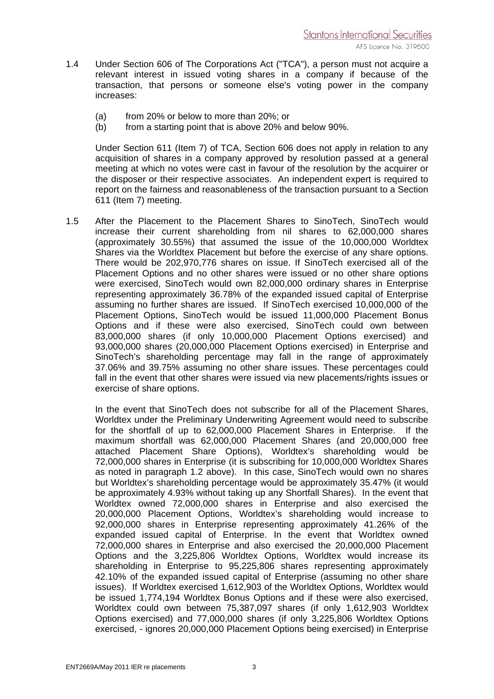- 1.4 Under Section 606 of The Corporations Act ("TCA"), a person must not acquire a relevant interest in issued voting shares in a company if because of the transaction, that persons or someone else's voting power in the company increases:
	- (a) from 20% or below to more than 20%; or
	- (b) from a starting point that is above 20% and below 90%.

Under Section 611 (Item 7) of TCA, Section 606 does not apply in relation to any acquisition of shares in a company approved by resolution passed at a general meeting at which no votes were cast in favour of the resolution by the acquirer or the disposer or their respective associates. An independent expert is required to report on the fairness and reasonableness of the transaction pursuant to a Section 611 (Item 7) meeting.

1.5 After the Placement to the Placement Shares to SinoTech, SinoTech would increase their current shareholding from nil shares to 62,000,000 shares (approximately 30.55%) that assumed the issue of the 10,000,000 Worldtex Shares via the Worldtex Placement but before the exercise of any share options. There would be 202,970,776 shares on issue. If SinoTech exercised all of the Placement Options and no other shares were issued or no other share options were exercised, SinoTech would own 82,000,000 ordinary shares in Enterprise representing approximately 36.78% of the expanded issued capital of Enterprise assuming no further shares are issued. If SinoTech exercised 10,000,000 of the Placement Options, SinoTech would be issued 11,000,000 Placement Bonus Options and if these were also exercised, SinoTech could own between 83,000,000 shares (if only 10,000,000 Placement Options exercised) and 93,000,000 shares (20,000,000 Placement Options exercised) in Enterprise and SinoTech's shareholding percentage may fall in the range of approximately 37.06% and 39.75% assuming no other share issues. These percentages could fall in the event that other shares were issued via new placements/rights issues or exercise of share options.

 In the event that SinoTech does not subscribe for all of the Placement Shares, Worldtex under the Preliminary Underwriting Agreement would need to subscribe for the shortfall of up to 62,000,000 Placement Shares in Enterprise. If the maximum shortfall was 62,000,000 Placement Shares (and 20,000,000 free attached Placement Share Options), Worldtex's shareholding would be 72,000,000 shares in Enterprise (it is subscribing for 10,000,000 Worldtex Shares as noted in paragraph 1.2 above). In this case, SinoTech would own no shares but Worldtex's shareholding percentage would be approximately 35.47% (it would be approximately 4.93% without taking up any Shortfall Shares). In the event that Worldtex owned 72,000,000 shares in Enterprise and also exercised the 20,000,000 Placement Options, Worldtex's shareholding would increase to 92,000,000 shares in Enterprise representing approximately 41.26% of the expanded issued capital of Enterprise. In the event that Worldtex owned 72,000,000 shares in Enterprise and also exercised the 20,000,000 Placement Options and the 3,225,806 Worldtex Options, Worldtex would increase its shareholding in Enterprise to 95,225,806 shares representing approximately 42.10% of the expanded issued capital of Enterprise (assuming no other share issues). If Worldtex exercised 1,612,903 of the Worldtex Options, Worldtex would be issued 1,774,194 Worldtex Bonus Options and if these were also exercised, Worldtex could own between 75,387,097 shares (if only 1,612,903 Worldtex Options exercised) and 77,000,000 shares (if only 3,225,806 Worldtex Options exercised, - ignores 20,000,000 Placement Options being exercised) in Enterprise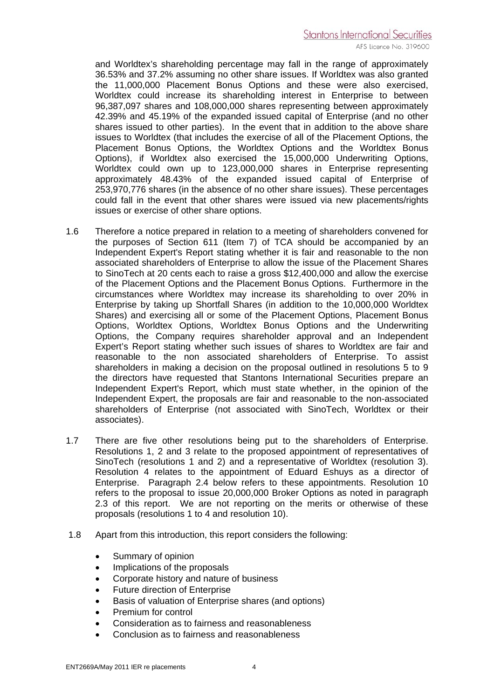and Worldtex's shareholding percentage may fall in the range of approximately 36.53% and 37.2% assuming no other share issues. If Worldtex was also granted the 11,000,000 Placement Bonus Options and these were also exercised, Worldtex could increase its shareholding interest in Enterprise to between 96,387,097 shares and 108,000,000 shares representing between approximately 42.39% and 45.19% of the expanded issued capital of Enterprise (and no other shares issued to other parties). In the event that in addition to the above share issues to Worldtex (that includes the exercise of all of the Placement Options, the Placement Bonus Options, the Worldtex Options and the Worldtex Bonus Options), if Worldtex also exercised the 15,000,000 Underwriting Options, Worldtex could own up to 123,000,000 shares in Enterprise representing approximately 48.43% of the expanded issued capital of Enterprise of 253,970,776 shares (in the absence of no other share issues). These percentages could fall in the event that other shares were issued via new placements/rights issues or exercise of other share options.

- 1.6 Therefore a notice prepared in relation to a meeting of shareholders convened for the purposes of Section 611 (Item 7) of TCA should be accompanied by an Independent Expert's Report stating whether it is fair and reasonable to the non associated shareholders of Enterprise to allow the issue of the Placement Shares to SinoTech at 20 cents each to raise a gross \$12,400,000 and allow the exercise of the Placement Options and the Placement Bonus Options. Furthermore in the circumstances where Worldtex may increase its shareholding to over 20% in Enterprise by taking up Shortfall Shares (in addition to the 10,000,000 Worldtex Shares) and exercising all or some of the Placement Options, Placement Bonus Options, Worldtex Options, Worldtex Bonus Options and the Underwriting Options, the Company requires shareholder approval and an Independent Expert's Report stating whether such issues of shares to Worldtex are fair and reasonable to the non associated shareholders of Enterprise. To assist shareholders in making a decision on the proposal outlined in resolutions 5 to 9 the directors have requested that Stantons International Securities prepare an Independent Expert's Report, which must state whether, in the opinion of the Independent Expert, the proposals are fair and reasonable to the non-associated shareholders of Enterprise (not associated with SinoTech, Worldtex or their associates).
- 1.7 There are five other resolutions being put to the shareholders of Enterprise. Resolutions 1, 2 and 3 relate to the proposed appointment of representatives of SinoTech (resolutions 1 and 2) and a representative of Worldtex (resolution 3). Resolution 4 relates to the appointment of Eduard Eshuys as a director of Enterprise. Paragraph 2.4 below refers to these appointments. Resolution 10 refers to the proposal to issue 20,000,000 Broker Options as noted in paragraph 2.3 of this report. We are not reporting on the merits or otherwise of these proposals (resolutions 1 to 4 and resolution 10).
- 1.8 Apart from this introduction, this report considers the following:
	- Summary of opinion
	- Implications of the proposals
	- Corporate history and nature of business
	- Future direction of Enterprise
	- Basis of valuation of Enterprise shares (and options)
	- Premium for control
	- Consideration as to fairness and reasonableness
	- Conclusion as to fairness and reasonableness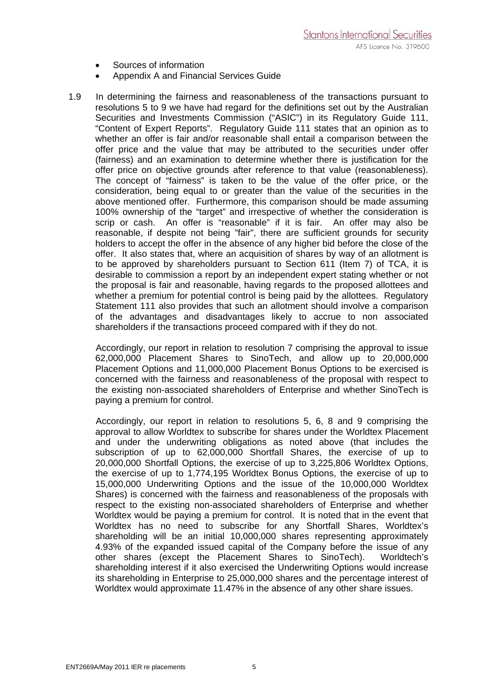- Sources of information
- Appendix A and Financial Services Guide
- 1.9 In determining the fairness and reasonableness of the transactions pursuant to resolutions 5 to 9 we have had regard for the definitions set out by the Australian Securities and Investments Commission ("ASIC") in its Regulatory Guide 111, "Content of Expert Reports". Regulatory Guide 111 states that an opinion as to whether an offer is fair and/or reasonable shall entail a comparison between the offer price and the value that may be attributed to the securities under offer (fairness) and an examination to determine whether there is justification for the offer price on objective grounds after reference to that value (reasonableness). The concept of "fairness" is taken to be the value of the offer price, or the consideration, being equal to or greater than the value of the securities in the above mentioned offer. Furthermore, this comparison should be made assuming 100% ownership of the "target" and irrespective of whether the consideration is scrip or cash. An offer is "reasonable" if it is fair. An offer may also be reasonable, if despite not being "fair", there are sufficient grounds for security holders to accept the offer in the absence of any higher bid before the close of the offer. It also states that, where an acquisition of shares by way of an allotment is to be approved by shareholders pursuant to Section 611 (Item 7) of TCA, it is desirable to commission a report by an independent expert stating whether or not the proposal is fair and reasonable, having regards to the proposed allottees and whether a premium for potential control is being paid by the allottees. Regulatory Statement 111 also provides that such an allotment should involve a comparison of the advantages and disadvantages likely to accrue to non associated shareholders if the transactions proceed compared with if they do not.

 Accordingly, our report in relation to resolution 7 comprising the approval to issue 62,000,000 Placement Shares to SinoTech, and allow up to 20,000,000 Placement Options and 11,000,000 Placement Bonus Options to be exercised is concerned with the fairness and reasonableness of the proposal with respect to the existing non-associated shareholders of Enterprise and whether SinoTech is paying a premium for control.

 Accordingly, our report in relation to resolutions 5, 6, 8 and 9 comprising the approval to allow Worldtex to subscribe for shares under the Worldtex Placement and under the underwriting obligations as noted above (that includes the subscription of up to 62,000,000 Shortfall Shares, the exercise of up to 20,000,000 Shortfall Options, the exercise of up to 3,225,806 Worldtex Options, the exercise of up to 1,774,195 Worldtex Bonus Options, the exercise of up to 15,000,000 Underwriting Options and the issue of the 10,000,000 Worldtex Shares) is concerned with the fairness and reasonableness of the proposals with respect to the existing non-associated shareholders of Enterprise and whether Worldtex would be paying a premium for control. It is noted that in the event that Worldtex has no need to subscribe for any Shortfall Shares, Worldtex's shareholding will be an initial 10,000,000 shares representing approximately 4.93% of the expanded issued capital of the Company before the issue of any other shares (except the Placement Shares to SinoTech). Worldtech's shareholding interest if it also exercised the Underwriting Options would increase its shareholding in Enterprise to 25,000,000 shares and the percentage interest of Worldtex would approximate 11.47% in the absence of any other share issues.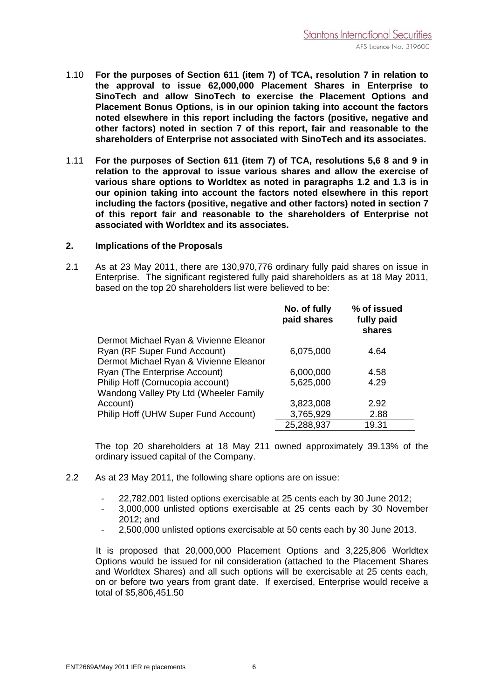- 1.10 **For the purposes of Section 611 (item 7) of TCA, resolution 7 in relation to the approval to issue 62,000,000 Placement Shares in Enterprise to SinoTech and allow SinoTech to exercise the Placement Options and Placement Bonus Options, is in our opinion taking into account the factors noted elsewhere in this report including the factors (positive, negative and other factors) noted in section 7 of this report, fair and reasonable to the shareholders of Enterprise not associated with SinoTech and its associates.**
- 1.11 **For the purposes of Section 611 (item 7) of TCA, resolutions 5,6 8 and 9 in relation to the approval to issue various shares and allow the exercise of various share options to Worldtex as noted in paragraphs 1.2 and 1.3 is in our opinion taking into account the factors noted elsewhere in this report including the factors (positive, negative and other factors) noted in section 7 of this report fair and reasonable to the shareholders of Enterprise not associated with Worldtex and its associates.**

#### **2. Implications of the Proposals**

2.1 As at 23 May 2011, there are 130,970,776 ordinary fully paid shares on issue in Enterprise. The significant registered fully paid shareholders as at 18 May 2011, based on the top 20 shareholders list were believed to be:

|                                        | No. of fully<br>paid shares | % of issued<br>fully paid<br>shares |
|----------------------------------------|-----------------------------|-------------------------------------|
| Dermot Michael Ryan & Vivienne Eleanor |                             |                                     |
| Ryan (RF Super Fund Account)           | 6,075,000                   | 4.64                                |
| Dermot Michael Ryan & Vivienne Eleanor |                             |                                     |
| Ryan (The Enterprise Account)          | 6,000,000                   | 4.58                                |
| Philip Hoff (Cornucopia account)       | 5,625,000                   | 4.29                                |
| Wandong Valley Pty Ltd (Wheeler Family |                             |                                     |
| Account)                               | 3,823,008                   | 2.92                                |
| Philip Hoff (UHW Super Fund Account)   | 3,765,929                   | 2.88                                |
|                                        | 25,288,937                  | 19.31                               |

The top 20 shareholders at 18 May 211 owned approximately 39.13% of the ordinary issued capital of the Company.

- 2.2 As at 23 May 2011, the following share options are on issue:
	- 22,782,001 listed options exercisable at 25 cents each by 30 June 2012;
	- 3,000,000 unlisted options exercisable at 25 cents each by 30 November 2012; and
	- 2,500,000 unlisted options exercisable at 50 cents each by 30 June 2013.

 It is proposed that 20,000,000 Placement Options and 3,225,806 Worldtex Options would be issued for nil consideration (attached to the Placement Shares and Worldtex Shares) and all such options will be exercisable at 25 cents each, on or before two years from grant date. If exercised, Enterprise would receive a total of \$5,806,451.50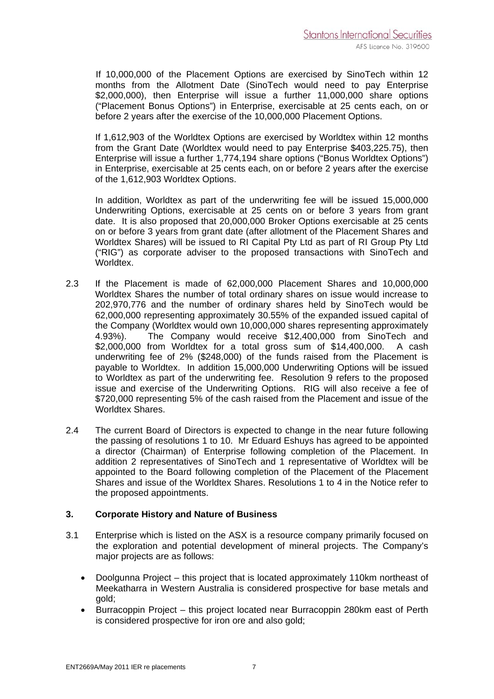If 10,000,000 of the Placement Options are exercised by SinoTech within 12 months from the Allotment Date (SinoTech would need to pay Enterprise \$2,000,000), then Enterprise will issue a further 11,000,000 share options ("Placement Bonus Options") in Enterprise, exercisable at 25 cents each, on or before 2 years after the exercise of the 10,000,000 Placement Options.

If 1,612,903 of the Worldtex Options are exercised by Worldtex within 12 months from the Grant Date (Worldtex would need to pay Enterprise \$403,225.75), then Enterprise will issue a further 1,774,194 share options ("Bonus Worldtex Options") in Enterprise, exercisable at 25 cents each, on or before 2 years after the exercise of the 1,612,903 Worldtex Options.

In addition, Worldtex as part of the underwriting fee will be issued 15,000,000 Underwriting Options, exercisable at 25 cents on or before 3 years from grant date. It is also proposed that 20,000,000 Broker Options exercisable at 25 cents on or before 3 years from grant date (after allotment of the Placement Shares and Worldtex Shares) will be issued to RI Capital Pty Ltd as part of RI Group Pty Ltd ("RIG") as corporate adviser to the proposed transactions with SinoTech and Worldtex.

- 2.3 If the Placement is made of 62,000,000 Placement Shares and 10,000,000 Worldtex Shares the number of total ordinary shares on issue would increase to 202,970,776 and the number of ordinary shares held by SinoTech would be 62,000,000 representing approximately 30.55% of the expanded issued capital of the Company (Worldtex would own 10,000,000 shares representing approximately 4.93%). The Company would receive \$12,400,000 from SinoTech and \$2,000,000 from Worldtex for a total gross sum of \$14,400,000. A cash underwriting fee of 2% (\$248,000) of the funds raised from the Placement is payable to Worldtex. In addition 15,000,000 Underwriting Options will be issued to Worldtex as part of the underwriting fee. Resolution 9 refers to the proposed issue and exercise of the Underwriting Options. RIG will also receive a fee of \$720,000 representing 5% of the cash raised from the Placement and issue of the Worldtex Shares.
- 2.4 The current Board of Directors is expected to change in the near future following the passing of resolutions 1 to 10. Mr Eduard Eshuys has agreed to be appointed a director (Chairman) of Enterprise following completion of the Placement. In addition 2 representatives of SinoTech and 1 representative of Worldtex will be appointed to the Board following completion of the Placement of the Placement Shares and issue of the Worldtex Shares. Resolutions 1 to 4 in the Notice refer to the proposed appointments.

#### **3. Corporate History and Nature of Business**

- 3.1 Enterprise which is listed on the ASX is a resource company primarily focused on the exploration and potential development of mineral projects. The Company's major projects are as follows:
	- Doolgunna Project this project that is located approximately 110km northeast of Meekatharra in Western Australia is considered prospective for base metals and gold;
	- Burracoppin Project this project located near Burracoppin 280km east of Perth is considered prospective for iron ore and also gold;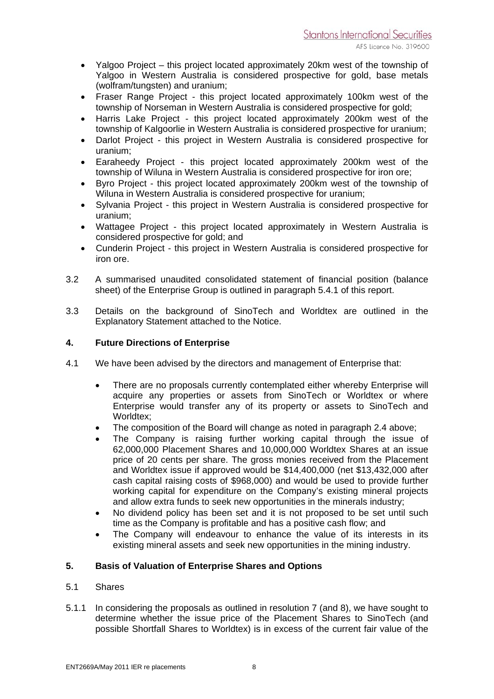- Yalgoo Project this project located approximately 20km west of the township of Yalgoo in Western Australia is considered prospective for gold, base metals (wolfram/tungsten) and uranium;
- Fraser Range Project this project located approximately 100km west of the township of Norseman in Western Australia is considered prospective for gold;
- Harris Lake Project this project located approximately 200km west of the township of Kalgoorlie in Western Australia is considered prospective for uranium;
- Darlot Project this project in Western Australia is considered prospective for uranium;
- Earaheedy Project this project located approximately 200km west of the township of Wiluna in Western Australia is considered prospective for iron ore;
- Byro Project this project located approximately 200km west of the township of Wiluna in Western Australia is considered prospective for uranium;
- Sylvania Project this project in Western Australia is considered prospective for uranium;
- Wattagee Project this project located approximately in Western Australia is considered prospective for gold; and
- Cunderin Project this project in Western Australia is considered prospective for iron ore.
- 3.2 A summarised unaudited consolidated statement of financial position (balance sheet) of the Enterprise Group is outlined in paragraph 5.4.1 of this report.
- 3.3 Details on the background of SinoTech and Worldtex are outlined in the Explanatory Statement attached to the Notice.

#### **4. Future Directions of Enterprise**

- 4.1 We have been advised by the directors and management of Enterprise that:
	- There are no proposals currently contemplated either whereby Enterprise will acquire any properties or assets from SinoTech or Worldtex or where Enterprise would transfer any of its property or assets to SinoTech and Worldtex:
	- The composition of the Board will change as noted in paragraph 2.4 above;
	- The Company is raising further working capital through the issue of 62,000,000 Placement Shares and 10,000,000 Worldtex Shares at an issue price of 20 cents per share. The gross monies received from the Placement and Worldtex issue if approved would be \$14,400,000 (net \$13,432,000 after cash capital raising costs of \$968,000) and would be used to provide further working capital for expenditure on the Company's existing mineral projects and allow extra funds to seek new opportunities in the minerals industry;
	- No dividend policy has been set and it is not proposed to be set until such time as the Company is profitable and has a positive cash flow; and
	- The Company will endeavour to enhance the value of its interests in its existing mineral assets and seek new opportunities in the mining industry.

#### **5. Basis of Valuation of Enterprise Shares and Options**

- 5.1 Shares
- 5.1.1 In considering the proposals as outlined in resolution 7 (and 8), we have sought to determine whether the issue price of the Placement Shares to SinoTech (and possible Shortfall Shares to Worldtex) is in excess of the current fair value of the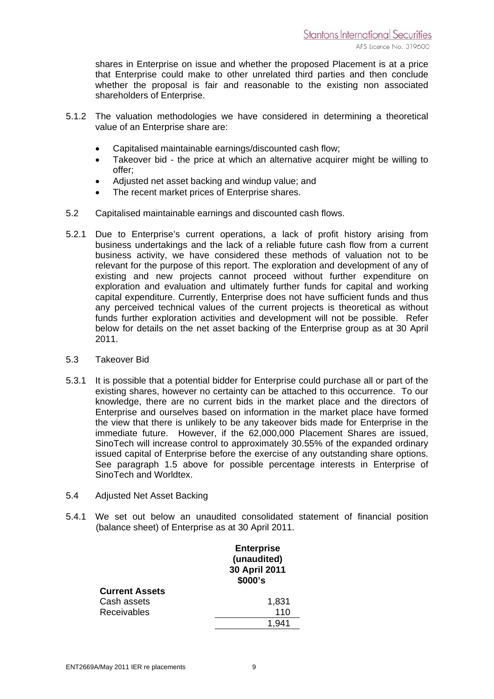shares in Enterprise on issue and whether the proposed Placement is at a price that Enterprise could make to other unrelated third parties and then conclude whether the proposal is fair and reasonable to the existing non associated shareholders of Enterprise.

- 5.1.2 The valuation methodologies we have considered in determining a theoretical value of an Enterprise share are:
	- Capitalised maintainable earnings/discounted cash flow;
	- Takeover bid the price at which an alternative acquirer might be willing to offer;
	- Adjusted net asset backing and windup value; and
	- The recent market prices of Enterprise shares.
- 5.2 Capitalised maintainable earnings and discounted cash flows.
- 5.2.1 Due to Enterprise's current operations, a lack of profit history arising from business undertakings and the lack of a reliable future cash flow from a current business activity, we have considered these methods of valuation not to be relevant for the purpose of this report. The exploration and development of any of existing and new projects cannot proceed without further expenditure on exploration and evaluation and ultimately further funds for capital and working capital expenditure. Currently, Enterprise does not have sufficient funds and thus any perceived technical values of the current projects is theoretical as without funds further exploration activities and development will not be possible. Refer below for details on the net asset backing of the Enterprise group as at 30 April 2011.
- 5.3 Takeover Bid
- 5.3.1 It is possible that a potential bidder for Enterprise could purchase all or part of the existing shares, however no certainty can be attached to this occurrence. To our knowledge, there are no current bids in the market place and the directors of Enterprise and ourselves based on information in the market place have formed the view that there is unlikely to be any takeover bids made for Enterprise in the immediate future. However, if the 62,000,000 Placement Shares are issued, SinoTech will increase control to approximately 30.55% of the expanded ordinary issued capital of Enterprise before the exercise of any outstanding share options. See paragraph 1.5 above for possible percentage interests in Enterprise of SinoTech and Worldtex.
- 5.4 Adjusted Net Asset Backing
- 5.4.1 We set out below an unaudited consolidated statement of financial position (balance sheet) of Enterprise as at 30 April 2011.

|                       | <b>Enterprise</b><br>(unaudited)<br>30 April 2011<br>\$000's |
|-----------------------|--------------------------------------------------------------|
| <b>Current Assets</b> |                                                              |
| Cash assets           | 1,831                                                        |
| <b>Receivables</b>    | 110                                                          |
|                       |                                                              |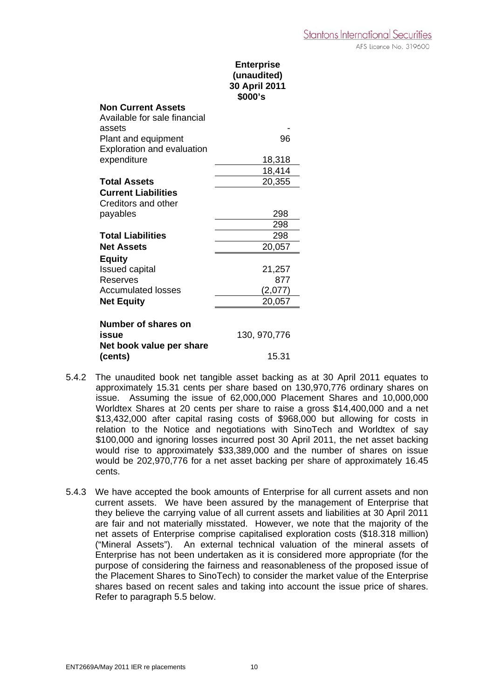|                                        | <b>Enterprise</b><br>(unaudited)<br>30 April 2011<br>\$000's |
|----------------------------------------|--------------------------------------------------------------|
| <b>Non Current Assets</b>              |                                                              |
| Available for sale financial<br>assets |                                                              |
| Plant and equipment                    | 96                                                           |
| Exploration and evaluation             |                                                              |
| expenditure                            | 18,318                                                       |
|                                        | 18,414                                                       |
| <b>Total Assets</b>                    | 20,355                                                       |
| <b>Current Liabilities</b>             |                                                              |
| Creditors and other                    |                                                              |
| payables                               | 298                                                          |
|                                        | 298                                                          |
| <b>Total Liabilities</b>               | 298                                                          |
| <b>Net Assets</b>                      | 20,057                                                       |
| <b>Equity</b>                          |                                                              |
| <b>Issued capital</b><br>Reserves      | 21,257<br>877                                                |
| <b>Accumulated losses</b>              | (2,077)                                                      |
| <b>Net Equity</b>                      | 20,057                                                       |
|                                        |                                                              |
| Number of shares on                    |                                                              |
| issue                                  | 130, 970, 776                                                |
| Net book value per share               |                                                              |
| (cents)                                | 15.31                                                        |

- 5.4.2 The unaudited book net tangible asset backing as at 30 April 2011 equates to approximately 15.31 cents per share based on 130,970,776 ordinary shares on issue. Assuming the issue of 62,000,000 Placement Shares and 10,000,000 Worldtex Shares at 20 cents per share to raise a gross \$14,400,000 and a net \$13,432,000 after capital rasing costs of \$968,000 but allowing for costs in relation to the Notice and negotiations with SinoTech and Worldtex of say \$100,000 and ignoring losses incurred post 30 April 2011, the net asset backing would rise to approximately \$33,389,000 and the number of shares on issue would be 202,970,776 for a net asset backing per share of approximately 16.45 cents.
- 5.4.3 We have accepted the book amounts of Enterprise for all current assets and non current assets. We have been assured by the management of Enterprise that they believe the carrying value of all current assets and liabilities at 30 April 2011 are fair and not materially misstated. However, we note that the majority of the net assets of Enterprise comprise capitalised exploration costs (\$18.318 million) ("Mineral Assets"). An external technical valuation of the mineral assets of Enterprise has not been undertaken as it is considered more appropriate (for the purpose of considering the fairness and reasonableness of the proposed issue of the Placement Shares to SinoTech) to consider the market value of the Enterprise shares based on recent sales and taking into account the issue price of shares. Refer to paragraph 5.5 below.

AFS Licence No. 319600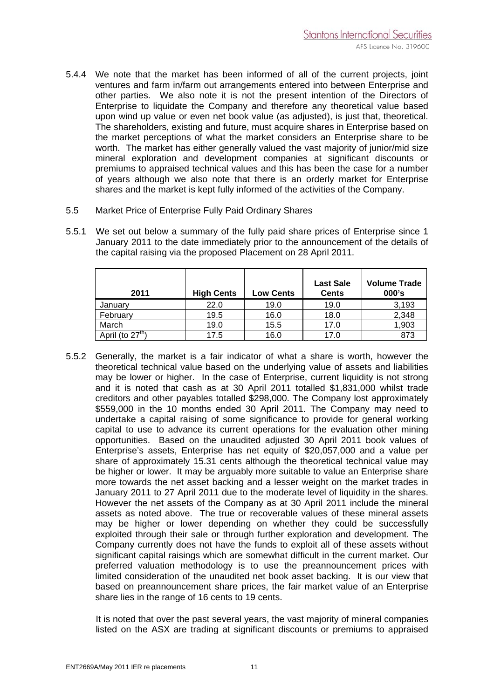- 5.4.4 We note that the market has been informed of all of the current projects, joint ventures and farm in/farm out arrangements entered into between Enterprise and other parties. We also note it is not the present intention of the Directors of Enterprise to liquidate the Company and therefore any theoretical value based upon wind up value or even net book value (as adjusted), is just that, theoretical. The shareholders, existing and future, must acquire shares in Enterprise based on the market perceptions of what the market considers an Enterprise share to be worth. The market has either generally valued the vast majority of junior/mid size mineral exploration and development companies at significant discounts or premiums to appraised technical values and this has been the case for a number of years although we also note that there is an orderly market for Enterprise shares and the market is kept fully informed of the activities of the Company.
- 5.5 Market Price of Enterprise Fully Paid Ordinary Shares
- 5.5.1 We set out below a summary of the fully paid share prices of Enterprise since 1 January 2011 to the date immediately prior to the announcement of the details of the capital raising via the proposed Placement on 28 April 2011.

| 2011               | <b>High Cents</b> | <b>Low Cents</b> | <b>Last Sale</b><br><b>Cents</b> | <b>Volume Trade</b><br>$000$ 's |
|--------------------|-------------------|------------------|----------------------------------|---------------------------------|
| January            | 22.0              | 19.0             | 19.0                             | 3,193                           |
| February           | 19.5              | 16.0             | 18.0                             | 2,348                           |
| March              | 19.0              | 15.5             | 17.0                             | 1,903                           |
| April (to $27th$ ) | 17.5              | 16.0             | 17.0                             | 873                             |

5.5.2 Generally, the market is a fair indicator of what a share is worth, however the theoretical technical value based on the underlying value of assets and liabilities may be lower or higher. In the case of Enterprise, current liquidity is not strong and it is noted that cash as at 30 April 2011 totalled \$1,831,000 whilst trade creditors and other payables totalled \$298,000. The Company lost approximately \$559,000 in the 10 months ended 30 April 2011. The Company may need to undertake a capital raising of some significance to provide for general working capital to use to advance its current operations for the evaluation other mining opportunities. Based on the unaudited adjusted 30 April 2011 book values of Enterprise's assets, Enterprise has net equity of \$20,057,000 and a value per share of approximately 15.31 cents although the theoretical technical value may be higher or lower. It may be arguably more suitable to value an Enterprise share more towards the net asset backing and a lesser weight on the market trades in January 2011 to 27 April 2011 due to the moderate level of liquidity in the shares. However the net assets of the Company as at 30 April 2011 include the mineral assets as noted above. The true or recoverable values of these mineral assets may be higher or lower depending on whether they could be successfully exploited through their sale or through further exploration and development. The Company currently does not have the funds to exploit all of these assets without significant capital raisings which are somewhat difficult in the current market. Our preferred valuation methodology is to use the preannouncement prices with limited consideration of the unaudited net book asset backing. It is our view that based on preannouncement share prices, the fair market value of an Enterprise share lies in the range of 16 cents to 19 cents.

It is noted that over the past several years, the vast majority of mineral companies listed on the ASX are trading at significant discounts or premiums to appraised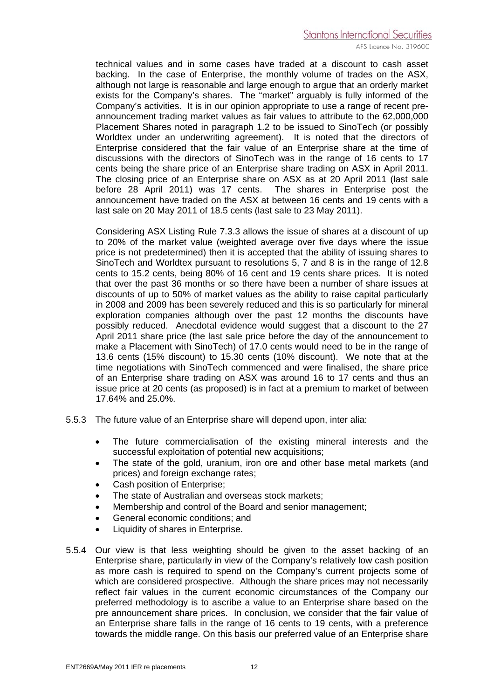technical values and in some cases have traded at a discount to cash asset backing. In the case of Enterprise, the monthly volume of trades on the ASX, although not large is reasonable and large enough to argue that an orderly market exists for the Company's shares. The "market" arguably is fully informed of the Company's activities. It is in our opinion appropriate to use a range of recent preannouncement trading market values as fair values to attribute to the 62,000,000 Placement Shares noted in paragraph 1.2 to be issued to SinoTech (or possibly Worldtex under an underwriting agreement). It is noted that the directors of Enterprise considered that the fair value of an Enterprise share at the time of discussions with the directors of SinoTech was in the range of 16 cents to 17 cents being the share price of an Enterprise share trading on ASX in April 2011. The closing price of an Enterprise share on ASX as at 20 April 2011 (last sale before 28 April 2011) was 17 cents. The shares in Enterprise post the announcement have traded on the ASX at between 16 cents and 19 cents with a last sale on 20 May 2011 of 18.5 cents (last sale to 23 May 2011).

Considering ASX Listing Rule 7.3.3 allows the issue of shares at a discount of up to 20% of the market value (weighted average over five days where the issue price is not predetermined) then it is accepted that the ability of issuing shares to SinoTech and Worldtex pursuant to resolutions 5, 7 and 8 is in the range of 12.8 cents to 15.2 cents, being 80% of 16 cent and 19 cents share prices. It is noted that over the past 36 months or so there have been a number of share issues at discounts of up to 50% of market values as the ability to raise capital particularly in 2008 and 2009 has been severely reduced and this is so particularly for mineral exploration companies although over the past 12 months the discounts have possibly reduced. Anecdotal evidence would suggest that a discount to the 27 April 2011 share price (the last sale price before the day of the announcement to make a Placement with SinoTech) of 17.0 cents would need to be in the range of 13.6 cents (15% discount) to 15.30 cents (10% discount). We note that at the time negotiations with SinoTech commenced and were finalised, the share price of an Enterprise share trading on ASX was around 16 to 17 cents and thus an issue price at 20 cents (as proposed) is in fact at a premium to market of between 17.64% and 25.0%.

- 5.5.3 The future value of an Enterprise share will depend upon, inter alia:
	- The future commercialisation of the existing mineral interests and the successful exploitation of potential new acquisitions;
	- The state of the gold, uranium, iron ore and other base metal markets (and prices) and foreign exchange rates;
	- Cash position of Enterprise;
	- The state of Australian and overseas stock markets:
	- Membership and control of the Board and senior management;
	- General economic conditions; and
	- Liquidity of shares in Enterprise.
- 5.5.4 Our view is that less weighting should be given to the asset backing of an Enterprise share, particularly in view of the Company's relatively low cash position as more cash is required to spend on the Company's current projects some of which are considered prospective. Although the share prices may not necessarily reflect fair values in the current economic circumstances of the Company our preferred methodology is to ascribe a value to an Enterprise share based on the pre announcement share prices. In conclusion, we consider that the fair value of an Enterprise share falls in the range of 16 cents to 19 cents, with a preference towards the middle range. On this basis our preferred value of an Enterprise share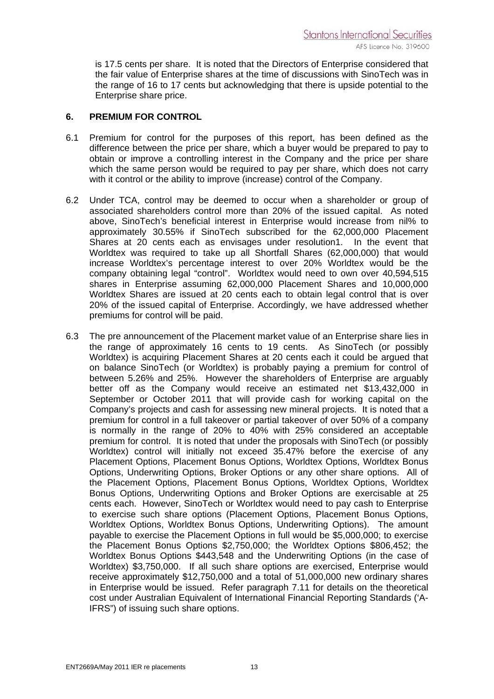is 17.5 cents per share. It is noted that the Directors of Enterprise considered that the fair value of Enterprise shares at the time of discussions with SinoTech was in the range of 16 to 17 cents but acknowledging that there is upside potential to the Enterprise share price.

#### **6. PREMIUM FOR CONTROL**

- 6.1 Premium for control for the purposes of this report, has been defined as the difference between the price per share, which a buyer would be prepared to pay to obtain or improve a controlling interest in the Company and the price per share which the same person would be required to pay per share, which does not carry with it control or the ability to improve (increase) control of the Company.
- 6.2 Under TCA, control may be deemed to occur when a shareholder or group of associated shareholders control more than 20% of the issued capital. As noted above, SinoTech's beneficial interest in Enterprise would increase from nil% to approximately 30.55% if SinoTech subscribed for the 62,000,000 Placement Shares at 20 cents each as envisages under resolution1. In the event that Worldtex was required to take up all Shortfall Shares (62,000,000) that would increase Worldtex's percentage interest to over 20% Worldtex would be the company obtaining legal "control". Worldtex would need to own over 40,594,515 shares in Enterprise assuming 62,000,000 Placement Shares and 10,000,000 Worldtex Shares are issued at 20 cents each to obtain legal control that is over 20% of the issued capital of Enterprise. Accordingly, we have addressed whether premiums for control will be paid.
- 6.3 The pre announcement of the Placement market value of an Enterprise share lies in the range of approximately 16 cents to 19 cents. As SinoTech (or possibly Worldtex) is acquiring Placement Shares at 20 cents each it could be argued that on balance SinoTech (or Worldtex) is probably paying a premium for control of between 5.26% and 25%. However the shareholders of Enterprise are arguably better off as the Company would receive an estimated net \$13,432,000 in September or October 2011 that will provide cash for working capital on the Company's projects and cash for assessing new mineral projects. It is noted that a premium for control in a full takeover or partial takeover of over 50% of a company is normally in the range of 20% to 40% with 25% considered an acceptable premium for control. It is noted that under the proposals with SinoTech (or possibly Worldtex) control will initially not exceed 35.47% before the exercise of any Placement Options, Placement Bonus Options, Worldtex Options, Worldtex Bonus Options, Underwriting Options, Broker Options or any other share options. All of the Placement Options, Placement Bonus Options, Worldtex Options, Worldtex Bonus Options, Underwriting Options and Broker Options are exercisable at 25 cents each. However, SinoTech or Worldtex would need to pay cash to Enterprise to exercise such share options (Placement Options, Placement Bonus Options, Worldtex Options, Worldtex Bonus Options, Underwriting Options). The amount payable to exercise the Placement Options in full would be \$5,000,000; to exercise the Placement Bonus Options \$2,750,000; the Worldtex Options \$806,452; the Worldtex Bonus Options \$443,548 and the Underwriting Options (in the case of Worldtex) \$3,750,000. If all such share options are exercised, Enterprise would receive approximately \$12,750,000 and a total of 51,000,000 new ordinary shares in Enterprise would be issued. Refer paragraph 7.11 for details on the theoretical cost under Australian Equivalent of International Financial Reporting Standards ('A-IFRS") of issuing such share options.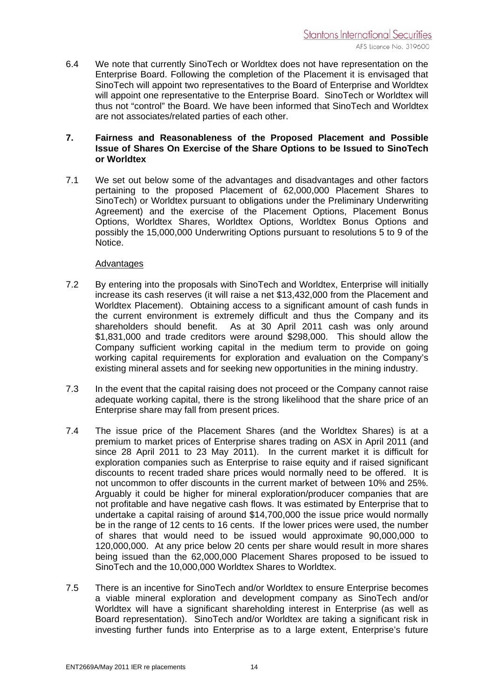6.4 We note that currently SinoTech or Worldtex does not have representation on the Enterprise Board. Following the completion of the Placement it is envisaged that SinoTech will appoint two representatives to the Board of Enterprise and Worldtex will appoint one representative to the Enterprise Board. SinoTech or Worldtex will thus not "control" the Board. We have been informed that SinoTech and Worldtex are not associates/related parties of each other.

#### **7. Fairness and Reasonableness of the Proposed Placement and Possible Issue of Shares On Exercise of the Share Options to be Issued to SinoTech or Worldtex**

7.1 We set out below some of the advantages and disadvantages and other factors pertaining to the proposed Placement of 62,000,000 Placement Shares to SinoTech) or Worldtex pursuant to obligations under the Preliminary Underwriting Agreement) and the exercise of the Placement Options, Placement Bonus Options, Worldtex Shares, Worldtex Options, Worldtex Bonus Options and possibly the 15,000,000 Underwriting Options pursuant to resolutions 5 to 9 of the Notice.

#### Advantages

- 7.2 By entering into the proposals with SinoTech and Worldtex, Enterprise will initially increase its cash reserves (it will raise a net \$13,432,000 from the Placement and Worldtex Placement). Obtaining access to a significant amount of cash funds in the current environment is extremely difficult and thus the Company and its shareholders should benefit. As at 30 April 2011 cash was only around \$1,831,000 and trade creditors were around \$298,000. This should allow the Company sufficient working capital in the medium term to provide on going working capital requirements for exploration and evaluation on the Company's existing mineral assets and for seeking new opportunities in the mining industry.
- 7.3 In the event that the capital raising does not proceed or the Company cannot raise adequate working capital, there is the strong likelihood that the share price of an Enterprise share may fall from present prices.
- 7.4 The issue price of the Placement Shares (and the Worldtex Shares) is at a premium to market prices of Enterprise shares trading on ASX in April 2011 (and since 28 April 2011 to 23 May 2011). In the current market it is difficult for exploration companies such as Enterprise to raise equity and if raised significant discounts to recent traded share prices would normally need to be offered. It is not uncommon to offer discounts in the current market of between 10% and 25%. Arguably it could be higher for mineral exploration/producer companies that are not profitable and have negative cash flows. It was estimated by Enterprise that to undertake a capital raising of around \$14,700,000 the issue price would normally be in the range of 12 cents to 16 cents. If the lower prices were used, the number of shares that would need to be issued would approximate 90,000,000 to 120,000,000. At any price below 20 cents per share would result in more shares being issued than the 62,000,000 Placement Shares proposed to be issued to SinoTech and the 10,000,000 Worldtex Shares to Worldtex.
- 7.5 There is an incentive for SinoTech and/or Worldtex to ensure Enterprise becomes a viable mineral exploration and development company as SinoTech and/or Worldtex will have a significant shareholding interest in Enterprise (as well as Board representation). SinoTech and/or Worldtex are taking a significant risk in investing further funds into Enterprise as to a large extent, Enterprise's future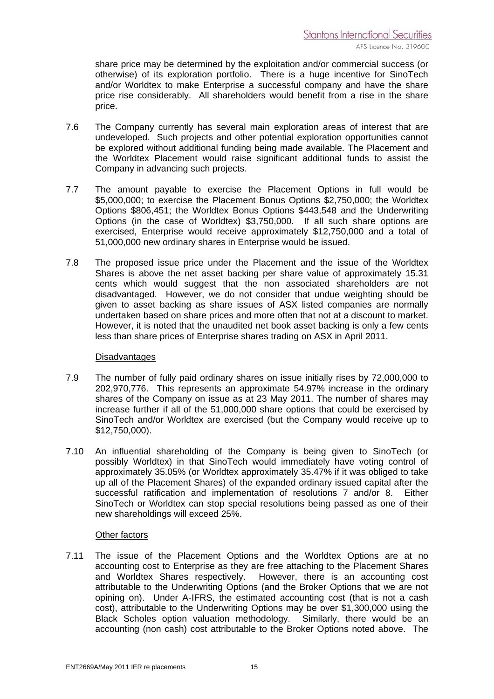share price may be determined by the exploitation and/or commercial success (or otherwise) of its exploration portfolio. There is a huge incentive for SinoTech and/or Worldtex to make Enterprise a successful company and have the share price rise considerably. All shareholders would benefit from a rise in the share price.

- 7.6 The Company currently has several main exploration areas of interest that are undeveloped. Such projects and other potential exploration opportunities cannot be explored without additional funding being made available. The Placement and the Worldtex Placement would raise significant additional funds to assist the Company in advancing such projects.
- 7.7 The amount payable to exercise the Placement Options in full would be \$5,000,000; to exercise the Placement Bonus Options \$2,750,000; the Worldtex Options \$806,451; the Worldtex Bonus Options \$443,548 and the Underwriting Options (in the case of Worldtex) \$3,750,000. If all such share options are exercised, Enterprise would receive approximately \$12,750,000 and a total of 51,000,000 new ordinary shares in Enterprise would be issued.
- 7.8 The proposed issue price under the Placement and the issue of the Worldtex Shares is above the net asset backing per share value of approximately 15.31 cents which would suggest that the non associated shareholders are not disadvantaged. However, we do not consider that undue weighting should be given to asset backing as share issues of ASX listed companies are normally undertaken based on share prices and more often that not at a discount to market. However, it is noted that the unaudited net book asset backing is only a few cents less than share prices of Enterprise shares trading on ASX in April 2011.

#### **Disadvantages**

- 7.9 The number of fully paid ordinary shares on issue initially rises by 72,000,000 to 202,970,776. This represents an approximate 54.97% increase in the ordinary shares of the Company on issue as at 23 May 2011. The number of shares may increase further if all of the 51,000,000 share options that could be exercised by SinoTech and/or Worldtex are exercised (but the Company would receive up to \$12,750,000).
- 7.10 An influential shareholding of the Company is being given to SinoTech (or possibly Worldtex) in that SinoTech would immediately have voting control of approximately 35.05% (or Worldtex approximately 35.47% if it was obliged to take up all of the Placement Shares) of the expanded ordinary issued capital after the successful ratification and implementation of resolutions 7 and/or 8. Either SinoTech or Worldtex can stop special resolutions being passed as one of their new shareholdings will exceed 25%.

#### Other factors

7.11 The issue of the Placement Options and the Worldtex Options are at no accounting cost to Enterprise as they are free attaching to the Placement Shares and Worldtex Shares respectively. However, there is an accounting cost attributable to the Underwriting Options (and the Broker Options that we are not opining on). Under A-IFRS, the estimated accounting cost (that is not a cash cost), attributable to the Underwriting Options may be over \$1,300,000 using the Black Scholes option valuation methodology. Similarly, there would be an accounting (non cash) cost attributable to the Broker Options noted above. The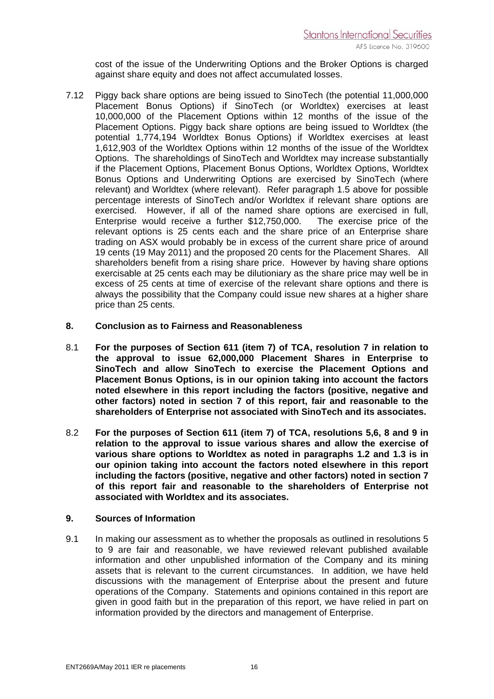cost of the issue of the Underwriting Options and the Broker Options is charged against share equity and does not affect accumulated losses.

7.12 Piggy back share options are being issued to SinoTech (the potential 11,000,000 Placement Bonus Options) if SinoTech (or Worldtex) exercises at least 10,000,000 of the Placement Options within 12 months of the issue of the Placement Options. Piggy back share options are being issued to Worldtex (the potential 1,774,194 Worldtex Bonus Options) if Worldtex exercises at least 1,612,903 of the Worldtex Options within 12 months of the issue of the Worldtex Options. The shareholdings of SinoTech and Worldtex may increase substantially if the Placement Options, Placement Bonus Options, Worldtex Options, Worldtex Bonus Options and Underwriting Options are exercised by SinoTech (where relevant) and Worldtex (where relevant). Refer paragraph 1.5 above for possible percentage interests of SinoTech and/or Worldtex if relevant share options are exercised. However, if all of the named share options are exercised in full, Enterprise would receive a further \$12,750,000. The exercise price of the relevant options is 25 cents each and the share price of an Enterprise share trading on ASX would probably be in excess of the current share price of around 19 cents (19 May 2011) and the proposed 20 cents for the Placement Shares. All shareholders benefit from a rising share price. However by having share options exercisable at 25 cents each may be dilutioniary as the share price may well be in excess of 25 cents at time of exercise of the relevant share options and there is always the possibility that the Company could issue new shares at a higher share price than 25 cents.

#### **8. Conclusion as to Fairness and Reasonableness**

- 8.1 **For the purposes of Section 611 (item 7) of TCA, resolution 7 in relation to the approval to issue 62,000,000 Placement Shares in Enterprise to SinoTech and allow SinoTech to exercise the Placement Options and Placement Bonus Options, is in our opinion taking into account the factors noted elsewhere in this report including the factors (positive, negative and other factors) noted in section 7 of this report, fair and reasonable to the shareholders of Enterprise not associated with SinoTech and its associates.**
- 8.2 **For the purposes of Section 611 (item 7) of TCA, resolutions 5,6, 8 and 9 in relation to the approval to issue various shares and allow the exercise of various share options to Worldtex as noted in paragraphs 1.2 and 1.3 is in our opinion taking into account the factors noted elsewhere in this report including the factors (positive, negative and other factors) noted in section 7 of this report fair and reasonable to the shareholders of Enterprise not associated with Worldtex and its associates.**

#### **9. Sources of Information**

9.1 In making our assessment as to whether the proposals as outlined in resolutions 5 to 9 are fair and reasonable, we have reviewed relevant published available information and other unpublished information of the Company and its mining assets that is relevant to the current circumstances. In addition, we have held discussions with the management of Enterprise about the present and future operations of the Company. Statements and opinions contained in this report are given in good faith but in the preparation of this report, we have relied in part on information provided by the directors and management of Enterprise.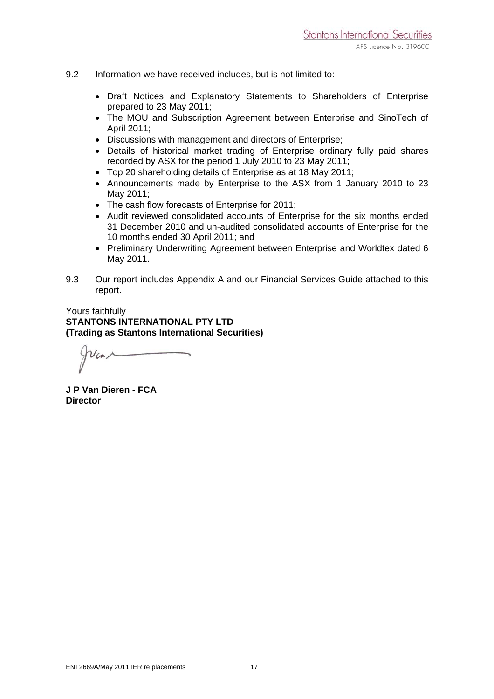- 9.2 Information we have received includes, but is not limited to:
	- Draft Notices and Explanatory Statements to Shareholders of Enterprise prepared to 23 May 2011;
	- The MOU and Subscription Agreement between Enterprise and SinoTech of April 2011;
	- Discussions with management and directors of Enterprise;
	- Details of historical market trading of Enterprise ordinary fully paid shares recorded by ASX for the period 1 July 2010 to 23 May 2011;
	- Top 20 shareholding details of Enterprise as at 18 May 2011;
	- Announcements made by Enterprise to the ASX from 1 January 2010 to 23 May 2011;
	- The cash flow forecasts of Enterprise for 2011;
	- Audit reviewed consolidated accounts of Enterprise for the six months ended 31 December 2010 and un-audited consolidated accounts of Enterprise for the 10 months ended 30 April 2011; and
	- Preliminary Underwriting Agreement between Enterprise and Worldtex dated 6 May 2011.
- 9.3 Our report includes Appendix A and our Financial Services Guide attached to this report.

#### Yours faithfully **STANTONS INTERNATIONAL PTY LTD (Trading as Stantons International Securities)**

**J P Van Dieren - FCA Director**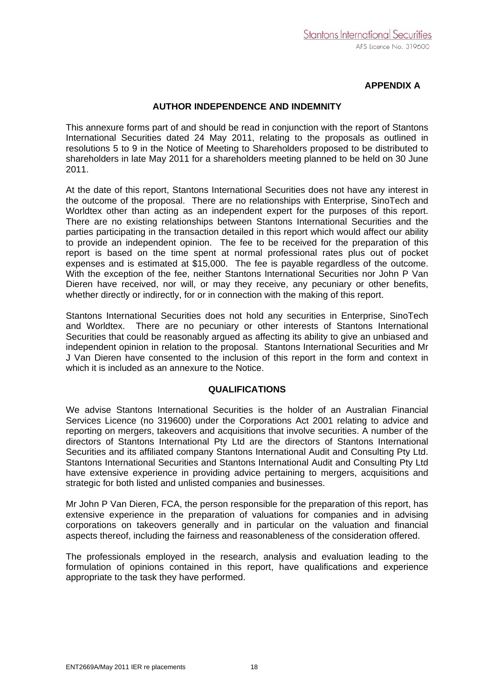#### **APPENDIX A**

#### **AUTHOR INDEPENDENCE AND INDEMNITY**

This annexure forms part of and should be read in conjunction with the report of Stantons International Securities dated 24 May 2011, relating to the proposals as outlined in resolutions 5 to 9 in the Notice of Meeting to Shareholders proposed to be distributed to shareholders in late May 2011 for a shareholders meeting planned to be held on 30 June 2011.

At the date of this report, Stantons International Securities does not have any interest in the outcome of the proposal. There are no relationships with Enterprise, SinoTech and Worldtex other than acting as an independent expert for the purposes of this report. There are no existing relationships between Stantons International Securities and the parties participating in the transaction detailed in this report which would affect our ability to provide an independent opinion. The fee to be received for the preparation of this report is based on the time spent at normal professional rates plus out of pocket expenses and is estimated at \$15,000. The fee is payable regardless of the outcome. With the exception of the fee, neither Stantons International Securities nor John P Van Dieren have received, nor will, or may they receive, any pecuniary or other benefits, whether directly or indirectly, for or in connection with the making of this report.

Stantons International Securities does not hold any securities in Enterprise, SinoTech and Worldtex. There are no pecuniary or other interests of Stantons International Securities that could be reasonably argued as affecting its ability to give an unbiased and independent opinion in relation to the proposal. Stantons International Securities and Mr J Van Dieren have consented to the inclusion of this report in the form and context in which it is included as an annexure to the Notice.

#### **QUALIFICATIONS**

We advise Stantons International Securities is the holder of an Australian Financial Services Licence (no 319600) under the Corporations Act 2001 relating to advice and reporting on mergers, takeovers and acquisitions that involve securities. A number of the directors of Stantons International Pty Ltd are the directors of Stantons International Securities and its affiliated company Stantons International Audit and Consulting Pty Ltd. Stantons International Securities and Stantons International Audit and Consulting Pty Ltd have extensive experience in providing advice pertaining to mergers, acquisitions and strategic for both listed and unlisted companies and businesses.

Mr John P Van Dieren, FCA, the person responsible for the preparation of this report, has extensive experience in the preparation of valuations for companies and in advising corporations on takeovers generally and in particular on the valuation and financial aspects thereof, including the fairness and reasonableness of the consideration offered.

The professionals employed in the research, analysis and evaluation leading to the formulation of opinions contained in this report, have qualifications and experience appropriate to the task they have performed.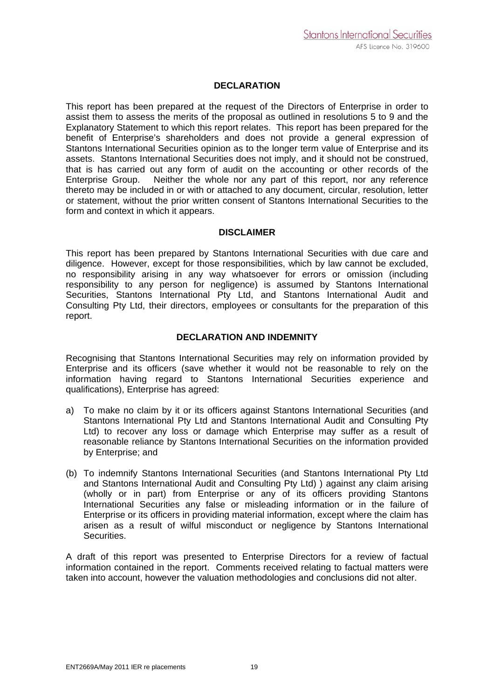#### **DECLARATION**

This report has been prepared at the request of the Directors of Enterprise in order to assist them to assess the merits of the proposal as outlined in resolutions 5 to 9 and the Explanatory Statement to which this report relates. This report has been prepared for the benefit of Enterprise's shareholders and does not provide a general expression of Stantons International Securities opinion as to the longer term value of Enterprise and its assets. Stantons International Securities does not imply, and it should not be construed, that is has carried out any form of audit on the accounting or other records of the Enterprise Group. Neither the whole nor any part of this report, nor any reference thereto may be included in or with or attached to any document, circular, resolution, letter or statement, without the prior written consent of Stantons International Securities to the form and context in which it appears.

#### **DISCLAIMER**

This report has been prepared by Stantons International Securities with due care and diligence. However, except for those responsibilities, which by law cannot be excluded, no responsibility arising in any way whatsoever for errors or omission (including responsibility to any person for negligence) is assumed by Stantons International Securities, Stantons International Pty Ltd, and Stantons International Audit and Consulting Pty Ltd, their directors, employees or consultants for the preparation of this report.

#### **DECLARATION AND INDEMNITY**

Recognising that Stantons International Securities may rely on information provided by Enterprise and its officers (save whether it would not be reasonable to rely on the information having regard to Stantons International Securities experience and qualifications), Enterprise has agreed:

- a) To make no claim by it or its officers against Stantons International Securities (and Stantons International Pty Ltd and Stantons International Audit and Consulting Pty Ltd) to recover any loss or damage which Enterprise may suffer as a result of reasonable reliance by Stantons International Securities on the information provided by Enterprise; and
- (b) To indemnify Stantons International Securities (and Stantons International Pty Ltd and Stantons International Audit and Consulting Pty Ltd) ) against any claim arising (wholly or in part) from Enterprise or any of its officers providing Stantons International Securities any false or misleading information or in the failure of Enterprise or its officers in providing material information, except where the claim has arisen as a result of wilful misconduct or negligence by Stantons International Securities.

A draft of this report was presented to Enterprise Directors for a review of factual information contained in the report. Comments received relating to factual matters were taken into account, however the valuation methodologies and conclusions did not alter.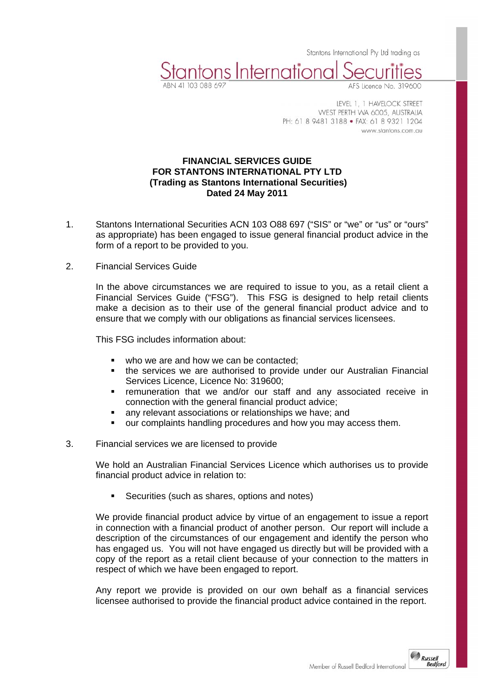Stantons International Pty Ltd trading as

LEVEL 1, 1 HAVELOCK STREET WEST PERTH WA 6005, AUSTRALIA PH: 61 8 9481 3188 · FAX: 61 8 9321 1204 www.stantons.com.au

#### **FINANCIAL SERVICES GUIDE FOR STANTONS INTERNATIONAL PTY LTD (Trading as Stantons International Securities) Dated 24 May 2011**

stantons International

- 1. Stantons International Securities ACN 103 O88 697 ("SIS" or "we" or "us" or "ours" as appropriate) has been engaged to issue general financial product advice in the form of a report to be provided to you.
- 2. Financial Services Guide

 In the above circumstances we are required to issue to you, as a retail client a Financial Services Guide ("FSG"). This FSG is designed to help retail clients make a decision as to their use of the general financial product advice and to ensure that we comply with our obligations as financial services licensees.

This FSG includes information about:

- who we are and how we can be contacted:
- the services we are authorised to provide under our Australian Financial Services Licence, Licence No: 319600;
- remuneration that we and/or our staff and any associated receive in connection with the general financial product advice;
- any relevant associations or relationships we have; and
- our complaints handling procedures and how you may access them.

#### 3. Financial services we are licensed to provide

 We hold an Australian Financial Services Licence which authorises us to provide financial product advice in relation to:

Securities (such as shares, options and notes)

We provide financial product advice by virtue of an engagement to issue a report in connection with a financial product of another person. Our report will include a description of the circumstances of our engagement and identify the person who has engaged us. You will not have engaged us directly but will be provided with a copy of the report as a retail client because of your connection to the matters in respect of which we have been engaged to report.

Any report we provide is provided on our own behalf as a financial services licensee authorised to provide the financial product advice contained in the report.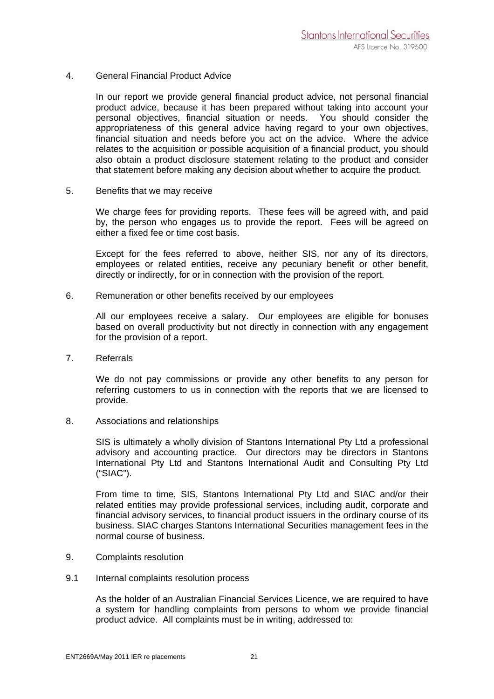#### 4. General Financial Product Advice

 In our report we provide general financial product advice, not personal financial product advice, because it has been prepared without taking into account your personal objectives, financial situation or needs. You should consider the appropriateness of this general advice having regard to your own objectives, financial situation and needs before you act on the advice. Where the advice relates to the acquisition or possible acquisition of a financial product, you should also obtain a product disclosure statement relating to the product and consider that statement before making any decision about whether to acquire the product.

5. Benefits that we may receive

 We charge fees for providing reports. These fees will be agreed with, and paid by, the person who engages us to provide the report. Fees will be agreed on either a fixed fee or time cost basis.

 Except for the fees referred to above, neither SIS, nor any of its directors, employees or related entities, receive any pecuniary benefit or other benefit, directly or indirectly, for or in connection with the provision of the report.

6. Remuneration or other benefits received by our employees

 All our employees receive a salary. Our employees are eligible for bonuses based on overall productivity but not directly in connection with any engagement for the provision of a report.

7. Referrals

 We do not pay commissions or provide any other benefits to any person for referring customers to us in connection with the reports that we are licensed to provide.

8. Associations and relationships

 SIS is ultimately a wholly division of Stantons International Pty Ltd a professional advisory and accounting practice. Our directors may be directors in Stantons International Pty Ltd and Stantons International Audit and Consulting Pty Ltd ("SIAC").

 From time to time, SIS, Stantons International Pty Ltd and SIAC and/or their related entities may provide professional services, including audit, corporate and financial advisory services, to financial product issuers in the ordinary course of its business. SIAC charges Stantons International Securities management fees in the normal course of business.

- 9. Complaints resolution
- 9.1 Internal complaints resolution process

As the holder of an Australian Financial Services Licence, we are required to have a system for handling complaints from persons to whom we provide financial product advice. All complaints must be in writing, addressed to: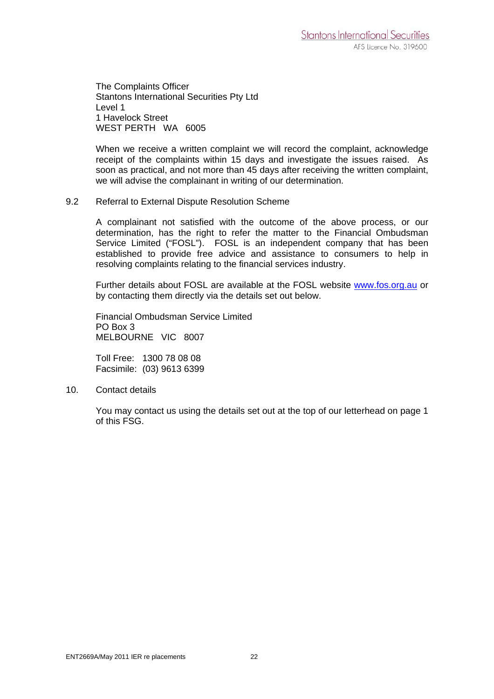The Complaints Officer Stantons International Securities Pty Ltd Level 1 1 Havelock Street WEST PERTH WA 6005

When we receive a written complaint we will record the complaint, acknowledge receipt of the complaints within 15 days and investigate the issues raised. As soon as practical, and not more than 45 days after receiving the written complaint, we will advise the complainant in writing of our determination.

#### 9.2 Referral to External Dispute Resolution Scheme

A complainant not satisfied with the outcome of the above process, or our determination, has the right to refer the matter to the Financial Ombudsman Service Limited ("FOSL"). FOSL is an independent company that has been established to provide free advice and assistance to consumers to help in resolving complaints relating to the financial services industry.

Further details about FOSL are available at the FOSL website www.fos.org.au or by contacting them directly via the details set out below.

Financial Ombudsman Service Limited PO Box 3 MELBOURNE VIC 8007

Toll Free: 1300 78 08 08 Facsimile: (03) 9613 6399

10. Contact details

 You may contact us using the details set out at the top of our letterhead on page 1 of this FSG.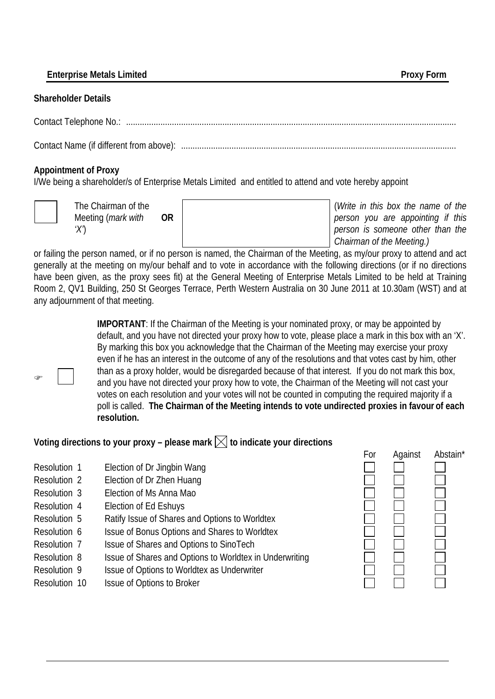**Enterprise Metals Limited Proxy Form** 

#### **Shareholder Details**

Contact Telephone No.: ................................................................................................................................................

Contact Name (if different from above): ........................................................................................................................

# **Appointment of Proxy**

I/We being a shareholder/s of Enterprise Metals Limited and entitled to attend and vote hereby appoint



The Chairman of the Meeting (*mark with 'X'*) **OR** (*Write in this box the name of the person you are appointing if this person is someone other than the Chairman of the Meeting.)*

or failing the person named, or if no person is named, the Chairman of the Meeting, as my/our proxy to attend and act generally at the meeting on my/our behalf and to vote in accordance with the following directions (or if no directions have been given, as the proxy sees fit) at the General Meeting of Enterprise Metals Limited to be held at Training Room 2, QV1 Building, 250 St Georges Terrace, Perth Western Australia on 30 June 2011 at 10.30am (WST) and at any adjournment of that meeting.

 $\circledcirc$ 

**IMPORTANT**: If the Chairman of the Meeting is your nominated proxy, or may be appointed by default, and you have not directed your proxy how to vote, please place a mark in this box with an 'X'. By marking this box you acknowledge that the Chairman of the Meeting may exercise your proxy even if he has an interest in the outcome of any of the resolutions and that votes cast by him, other than as a proxy holder, would be disregarded because of that interest. If you do not mark this box, and you have not directed your proxy how to vote, the Chairman of the Meeting will not cast your votes on each resolution and your votes will not be counted in computing the required majority if a poll is called. **The Chairman of the Meeting intends to vote undirected proxies in favour of each resolution.**

# Voting directions to your proxy – please mark  $\boxtimes$  to indicate your directions

- Resolution 1 Election of Dr Jingbin Wang
- Resolution 2 Election of Dr Zhen Huang
- Resolution 3 Election of Ms Anna Mao
- Resolution 4 Election of Ed Eshuys
- Resolution 5 Ratify Issue of Shares and Options to Worldtex
- Resolution 6 Issue of Bonus Options and Shares to Worldtex
- Resolution 7 Issue of Shares and Options to SinoTech
- Resolution 8 Issue of Shares and Options to Worldtex in Underwriting
- Resolution 9 Issue of Options to Worldtex as Underwriter
- Resolution 10 Issue of Options to Broker

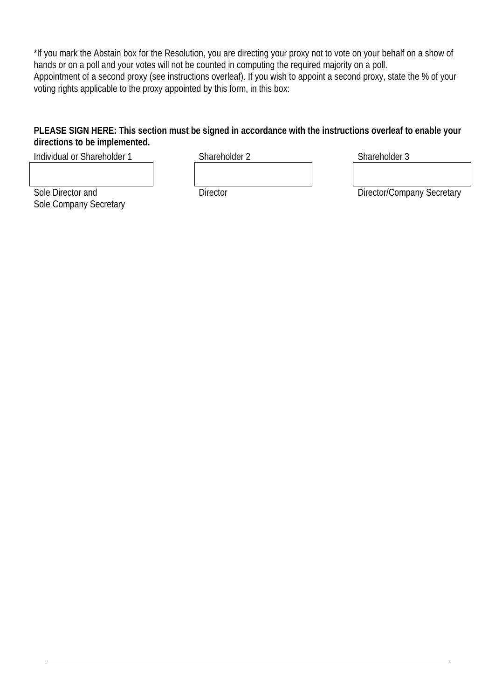\*If you mark the Abstain box for the Resolution, you are directing your proxy not to vote on your behalf on a show of hands or on a poll and your votes will not be counted in computing the required majority on a poll. Appointment of a second proxy (see instructions overleaf). If you wish to appoint a second proxy, state the % of your voting rights applicable to the proxy appointed by this form, in this box:

# **PLEASE SIGN HERE: This section must be signed in accordance with the instructions overleaf to enable your directions to be implemented.**

Individual or Shareholder 1 Shareholder 2 Shareholder 3

Sole Director and Sole Company Secretary

Director Director/Company Secretary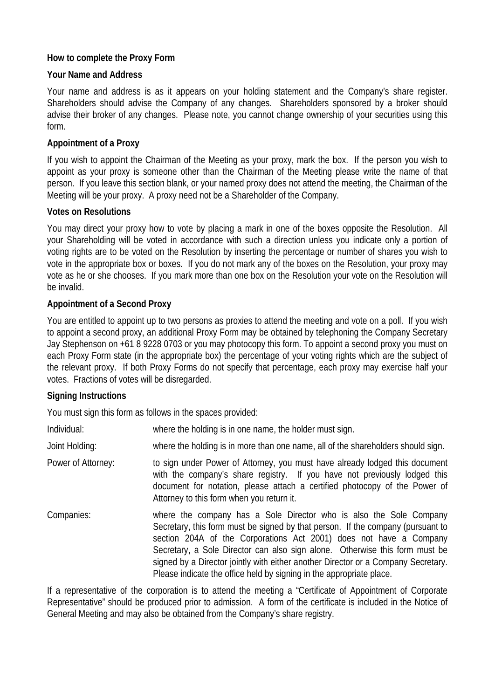# **How to complete the Proxy Form**

### **Your Name and Address**

Your name and address is as it appears on your holding statement and the Company's share register. Shareholders should advise the Company of any changes. Shareholders sponsored by a broker should advise their broker of any changes. Please note, you cannot change ownership of your securities using this form.

# **Appointment of a Proxy**

If you wish to appoint the Chairman of the Meeting as your proxy, mark the box. If the person you wish to appoint as your proxy is someone other than the Chairman of the Meeting please write the name of that person. If you leave this section blank, or your named proxy does not attend the meeting, the Chairman of the Meeting will be your proxy. A proxy need not be a Shareholder of the Company.

### **Votes on Resolutions**

You may direct your proxy how to vote by placing a mark in one of the boxes opposite the Resolution. All your Shareholding will be voted in accordance with such a direction unless you indicate only a portion of voting rights are to be voted on the Resolution by inserting the percentage or number of shares you wish to vote in the appropriate box or boxes. If you do not mark any of the boxes on the Resolution, your proxy may vote as he or she chooses. If you mark more than one box on the Resolution your vote on the Resolution will be invalid.

### **Appointment of a Second Proxy**

You are entitled to appoint up to two persons as proxies to attend the meeting and vote on a poll. If you wish to appoint a second proxy, an additional Proxy Form may be obtained by telephoning the Company Secretary Jay Stephenson on +61 8 9228 0703 or you may photocopy this form. To appoint a second proxy you must on each Proxy Form state (in the appropriate box) the percentage of your voting rights which are the subject of the relevant proxy. If both Proxy Forms do not specify that percentage, each proxy may exercise half your votes. Fractions of votes will be disregarded.

### **Signing Instructions**

You must sign this form as follows in the spaces provided:

| Individual:        | where the holding is in one name, the holder must sign.                                                                                                                                                                                                                                                                                                                                                                                                                 |
|--------------------|-------------------------------------------------------------------------------------------------------------------------------------------------------------------------------------------------------------------------------------------------------------------------------------------------------------------------------------------------------------------------------------------------------------------------------------------------------------------------|
| Joint Holding:     | where the holding is in more than one name, all of the shareholders should sign.                                                                                                                                                                                                                                                                                                                                                                                        |
| Power of Attorney: | to sign under Power of Attorney, you must have already lodged this document<br>with the company's share registry. If you have not previously lodged this<br>document for notation, please attach a certified photocopy of the Power of<br>Attorney to this form when you return it.                                                                                                                                                                                     |
| Companies:         | where the company has a Sole Director who is also the Sole Company<br>Secretary, this form must be signed by that person. If the company (pursuant to<br>section 204A of the Corporations Act 2001) does not have a Company<br>Secretary, a Sole Director can also sign alone. Otherwise this form must be<br>signed by a Director jointly with either another Director or a Company Secretary.<br>Please indicate the office held by signing in the appropriate place. |

If a representative of the corporation is to attend the meeting a "Certificate of Appointment of Corporate Representative" should be produced prior to admission. A form of the certificate is included in the Notice of General Meeting and may also be obtained from the Company's share registry.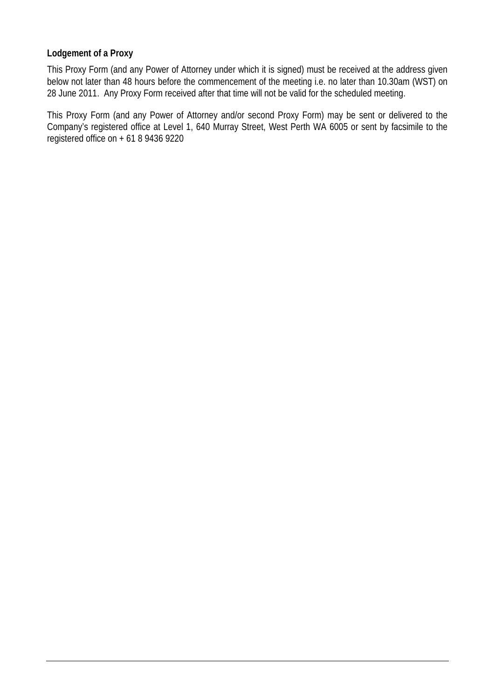### **Lodgement of a Proxy**

This Proxy Form (and any Power of Attorney under which it is signed) must be received at the address given below not later than 48 hours before the commencement of the meeting i.e. no later than 10.30am (WST) on 28 June 2011. Any Proxy Form received after that time will not be valid for the scheduled meeting.

This Proxy Form (and any Power of Attorney and/or second Proxy Form) may be sent or delivered to the Company's registered office at Level 1, 640 Murray Street, West Perth WA 6005 or sent by facsimile to the registered office on + 61 8 9436 9220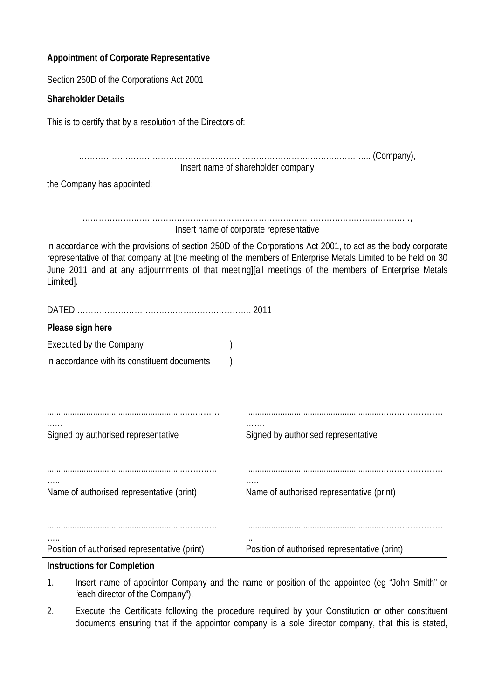# **Appointment of Corporate Representative**

Section 250D of the Corporations Act 2001

# **Shareholder Details**

This is to certify that by a resolution of the Directors of:

………………………………………………………………………….…….….………... (Company), Insert name of shareholder company the Company has appointed:

……………………..……………………………………………………………………….……….…, Insert name of corporate representative

in accordance with the provisions of section 250D of the Corporations Act 2001, to act as the body corporate representative of that company at [the meeting of the members of Enterprise Metals Limited to be held on 30 June 2011 and at any adjournments of that meeting][all meetings of the members of Enterprise Metals Limited].

| <b>DATED</b><br>2011                          |  |                                               |  |  |
|-----------------------------------------------|--|-----------------------------------------------|--|--|
| Please sign here                              |  |                                               |  |  |
| Executed by the Company                       |  |                                               |  |  |
| in accordance with its constituent documents  |  |                                               |  |  |
|                                               |  |                                               |  |  |
|                                               |  |                                               |  |  |
|                                               |  |                                               |  |  |
| Signed by authorised representative           |  | Signed by authorised representative           |  |  |
|                                               |  |                                               |  |  |
|                                               |  |                                               |  |  |
|                                               |  |                                               |  |  |
| Name of authorised representative (print)     |  | Name of authorised representative (print)     |  |  |
|                                               |  |                                               |  |  |
|                                               |  | $\cdots$                                      |  |  |
| Position of authorised representative (print) |  | Position of authorised representative (print) |  |  |

# **Instructions for Completion**

- 1. Insert name of appointor Company and the name or position of the appointee (eg "John Smith" or "each director of the Company").
- 2. Execute the Certificate following the procedure required by your Constitution or other constituent documents ensuring that if the appointor company is a sole director company, that this is stated,